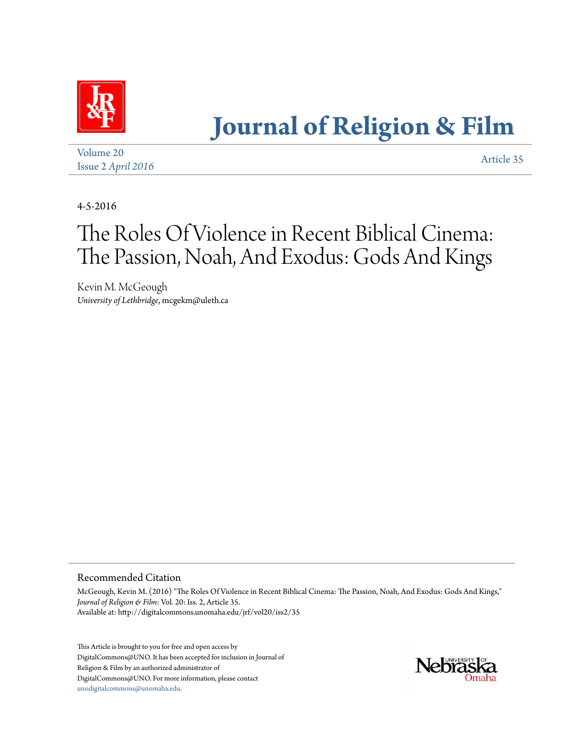

# **[Journal of Religion & Film](http://digitalcommons.unomaha.edu/jrf)**

[Volume 20](http://digitalcommons.unomaha.edu/jrf/vol20) Issue 2 *[April 2016](http://digitalcommons.unomaha.edu/jrf/vol20/iss2)* [Article 35](http://digitalcommons.unomaha.edu/jrf/vol20/iss2/35)

4-5-2016

## The Roles Of Violence in Recent Biblical Cinema: The Passion, Noah, And Exodus: Gods And Kings

Kevin M. McGeough *University of Lethbridge*, mcgekm@uleth.ca

#### Recommended Citation

McGeough, Kevin M. (2016) "The Roles Of Violence in Recent Biblical Cinema: The Passion, Noah, And Exodus: Gods And Kings," *Journal of Religion & Film*: Vol. 20: Iss. 2, Article 35. Available at: http://digitalcommons.unomaha.edu/jrf/vol20/iss2/35

This Article is brought to you for free and open access by DigitalCommons@UNO. It has been accepted for inclusion in Journal of Religion & Film by an authorized administrator of DigitalCommons@UNO. For more information, please contact [unodigitalcommons@unomaha.edu](mailto:unodigitalcommons@unomaha.edu).

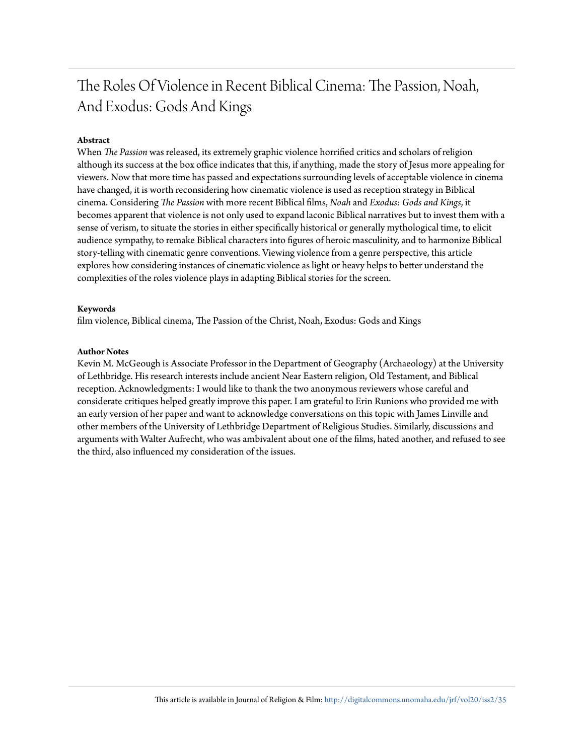### The Roles Of Violence in Recent Biblical Cinema: The Passion, Noah, And Exodus: Gods And Kings

#### **Abstract**

When *The Passion* was released, its extremely graphic violence horrified critics and scholars of religion although its success at the box office indicates that this, if anything, made the story of Jesus more appealing for viewers. Now that more time has passed and expectations surrounding levels of acceptable violence in cinema have changed, it is worth reconsidering how cinematic violence is used as reception strategy in Biblical cinema. Considering *The Passion* with more recent Biblical films, *Noah* and *Exodus: Gods and Kings*, it becomes apparent that violence is not only used to expand laconic Biblical narratives but to invest them with a sense of verism, to situate the stories in either specifically historical or generally mythological time, to elicit audience sympathy, to remake Biblical characters into figures of heroic masculinity, and to harmonize Biblical story-telling with cinematic genre conventions. Viewing violence from a genre perspective, this article explores how considering instances of cinematic violence as light or heavy helps to better understand the complexities of the roles violence plays in adapting Biblical stories for the screen.

#### **Keywords**

film violence, Biblical cinema, The Passion of the Christ, Noah, Exodus: Gods and Kings

#### **Author Notes**

Kevin M. McGeough is Associate Professor in the Department of Geography (Archaeology) at the University of Lethbridge. His research interests include ancient Near Eastern religion, Old Testament, and Biblical reception. Acknowledgments: I would like to thank the two anonymous reviewers whose careful and considerate critiques helped greatly improve this paper. I am grateful to Erin Runions who provided me with an early version of her paper and want to acknowledge conversations on this topic with James Linville and other members of the University of Lethbridge Department of Religious Studies. Similarly, discussions and arguments with Walter Aufrecht, who was ambivalent about one of the films, hated another, and refused to see the third, also influenced my consideration of the issues.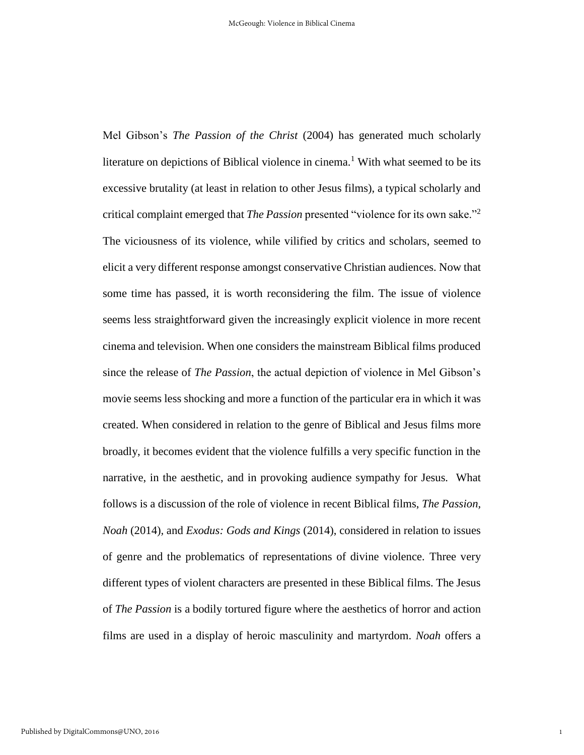Mel Gibson's *The Passion of the Christ* (2004) has generated much scholarly literature on depictions of Biblical violence in cinema.<sup>1</sup> With what seemed to be its excessive brutality (at least in relation to other Jesus films), a typical scholarly and critical complaint emerged that *The Passion* presented "violence for its own sake."<sup>2</sup> The viciousness of its violence, while vilified by critics and scholars, seemed to elicit a very different response amongst conservative Christian audiences. Now that some time has passed, it is worth reconsidering the film. The issue of violence seems less straightforward given the increasingly explicit violence in more recent cinema and television. When one considers the mainstream Biblical films produced since the release of *The Passion*, the actual depiction of violence in Mel Gibson's movie seems less shocking and more a function of the particular era in which it was created. When considered in relation to the genre of Biblical and Jesus films more broadly, it becomes evident that the violence fulfills a very specific function in the narrative, in the aesthetic, and in provoking audience sympathy for Jesus. What follows is a discussion of the role of violence in recent Biblical films, *The Passion, Noah* (2014)*,* and *Exodus: Gods and Kings* (2014), considered in relation to issues of genre and the problematics of representations of divine violence*.* Three very different types of violent characters are presented in these Biblical films. The Jesus of *The Passion* is a bodily tortured figure where the aesthetics of horror and action films are used in a display of heroic masculinity and martyrdom. *Noah* offers a

1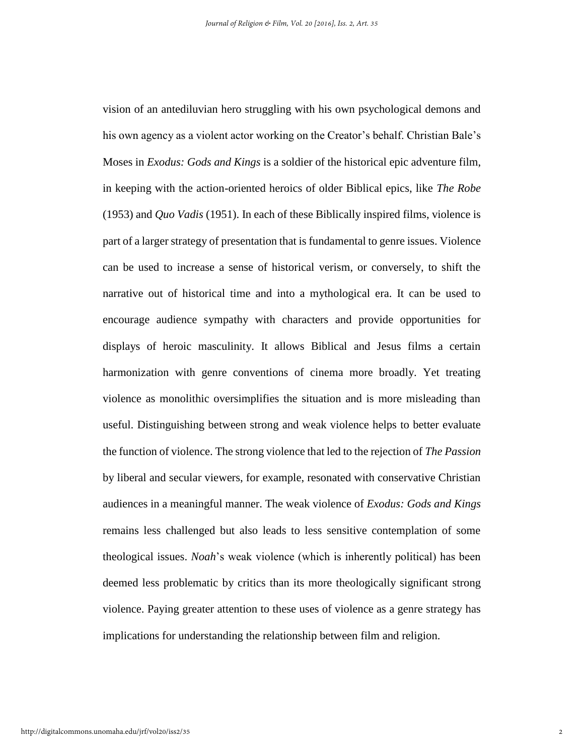vision of an antediluvian hero struggling with his own psychological demons and his own agency as a violent actor working on the Creator's behalf. Christian Bale's Moses in *Exodus: Gods and Kings* is a soldier of the historical epic adventure film, in keeping with the action-oriented heroics of older Biblical epics, like *The Robe*  (1953) and *Quo Vadis* (1951). In each of these Biblically inspired films, violence is part of a larger strategy of presentation that is fundamental to genre issues. Violence can be used to increase a sense of historical verism, or conversely, to shift the narrative out of historical time and into a mythological era. It can be used to encourage audience sympathy with characters and provide opportunities for displays of heroic masculinity. It allows Biblical and Jesus films a certain harmonization with genre conventions of cinema more broadly. Yet treating violence as monolithic oversimplifies the situation and is more misleading than useful. Distinguishing between strong and weak violence helps to better evaluate the function of violence. The strong violence that led to the rejection of *The Passion*  by liberal and secular viewers, for example, resonated with conservative Christian audiences in a meaningful manner. The weak violence of *Exodus: Gods and Kings*  remains less challenged but also leads to less sensitive contemplation of some theological issues. *Noah*'s weak violence (which is inherently political) has been deemed less problematic by critics than its more theologically significant strong violence. Paying greater attention to these uses of violence as a genre strategy has implications for understanding the relationship between film and religion.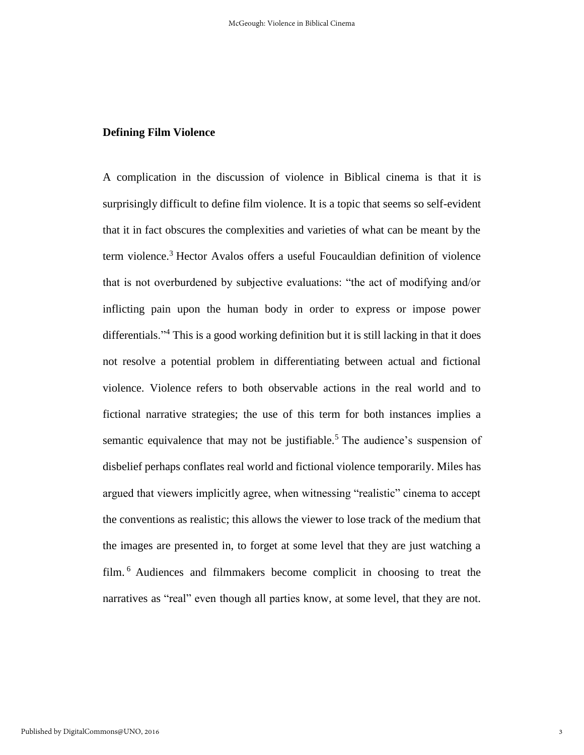#### **Defining Film Violence**

A complication in the discussion of violence in Biblical cinema is that it is surprisingly difficult to define film violence. It is a topic that seems so self-evident that it in fact obscures the complexities and varieties of what can be meant by the term violence.<sup>3</sup> Hector Avalos offers a useful Foucauldian definition of violence that is not overburdened by subjective evaluations: "the act of modifying and/or inflicting pain upon the human body in order to express or impose power differentials."<sup>4</sup> This is a good working definition but it is still lacking in that it does not resolve a potential problem in differentiating between actual and fictional violence. Violence refers to both observable actions in the real world and to fictional narrative strategies; the use of this term for both instances implies a semantic equivalence that may not be justifiable.<sup>5</sup> The audience's suspension of disbelief perhaps conflates real world and fictional violence temporarily. Miles has argued that viewers implicitly agree, when witnessing "realistic" cinema to accept the conventions as realistic; this allows the viewer to lose track of the medium that the images are presented in, to forget at some level that they are just watching a film. <sup>6</sup> Audiences and filmmakers become complicit in choosing to treat the narratives as "real" even though all parties know, at some level, that they are not.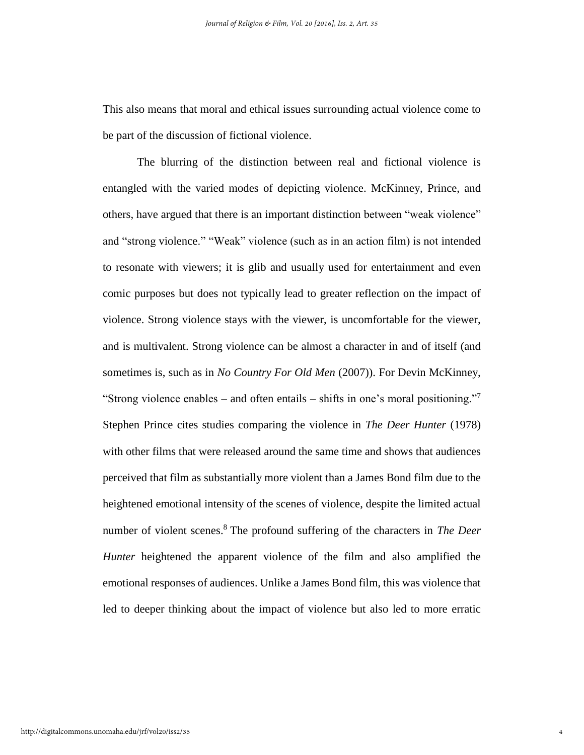This also means that moral and ethical issues surrounding actual violence come to be part of the discussion of fictional violence.

The blurring of the distinction between real and fictional violence is entangled with the varied modes of depicting violence. McKinney, Prince, and others, have argued that there is an important distinction between "weak violence" and "strong violence." "Weak" violence (such as in an action film) is not intended to resonate with viewers; it is glib and usually used for entertainment and even comic purposes but does not typically lead to greater reflection on the impact of violence. Strong violence stays with the viewer, is uncomfortable for the viewer, and is multivalent. Strong violence can be almost a character in and of itself (and sometimes is, such as in *No Country For Old Men* (2007)). For Devin McKinney, "Strong violence enables – and often entails – shifts in one's moral positioning."<sup>7</sup> Stephen Prince cites studies comparing the violence in *The Deer Hunter* (1978) with other films that were released around the same time and shows that audiences perceived that film as substantially more violent than a James Bond film due to the heightened emotional intensity of the scenes of violence, despite the limited actual number of violent scenes. <sup>8</sup> The profound suffering of the characters in *The Deer Hunter* heightened the apparent violence of the film and also amplified the emotional responses of audiences. Unlike a James Bond film, this was violence that led to deeper thinking about the impact of violence but also led to more erratic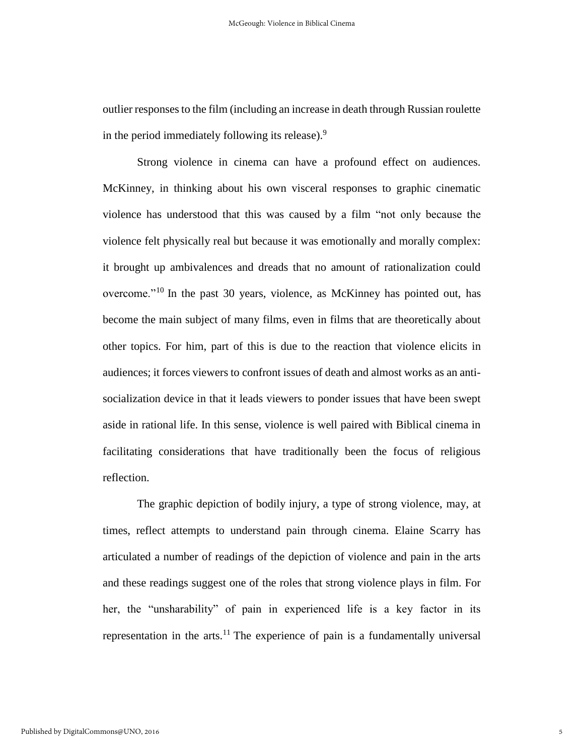outlier responses to the film (including an increase in death through Russian roulette in the period immediately following its release). $9$ 

Strong violence in cinema can have a profound effect on audiences. McKinney, in thinking about his own visceral responses to graphic cinematic violence has understood that this was caused by a film "not only because the violence felt physically real but because it was emotionally and morally complex: it brought up ambivalences and dreads that no amount of rationalization could overcome."<sup>10</sup> In the past 30 years, violence, as McKinney has pointed out, has become the main subject of many films, even in films that are theoretically about other topics. For him, part of this is due to the reaction that violence elicits in audiences; it forces viewers to confront issues of death and almost works as an antisocialization device in that it leads viewers to ponder issues that have been swept aside in rational life. In this sense, violence is well paired with Biblical cinema in facilitating considerations that have traditionally been the focus of religious reflection.

The graphic depiction of bodily injury, a type of strong violence, may, at times, reflect attempts to understand pain through cinema. Elaine Scarry has articulated a number of readings of the depiction of violence and pain in the arts and these readings suggest one of the roles that strong violence plays in film. For her, the "unsharability" of pain in experienced life is a key factor in its representation in the arts.<sup>11</sup> The experience of pain is a fundamentally universal

5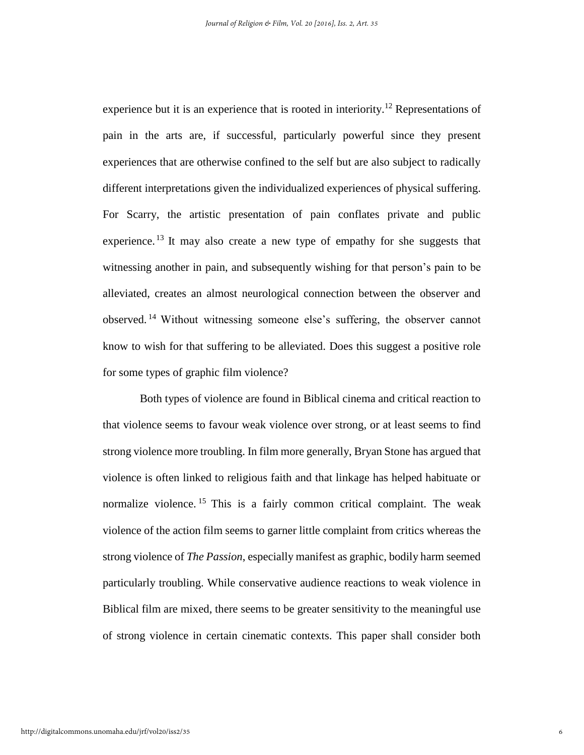experience but it is an experience that is rooted in interiority.<sup>12</sup> Representations of pain in the arts are, if successful, particularly powerful since they present experiences that are otherwise confined to the self but are also subject to radically different interpretations given the individualized experiences of physical suffering. For Scarry, the artistic presentation of pain conflates private and public experience.<sup>13</sup> It may also create a new type of empathy for she suggests that witnessing another in pain, and subsequently wishing for that person's pain to be alleviated, creates an almost neurological connection between the observer and observed. <sup>14</sup> Without witnessing someone else's suffering, the observer cannot know to wish for that suffering to be alleviated. Does this suggest a positive role for some types of graphic film violence?

Both types of violence are found in Biblical cinema and critical reaction to that violence seems to favour weak violence over strong, or at least seems to find strong violence more troubling. In film more generally, Bryan Stone has argued that violence is often linked to religious faith and that linkage has helped habituate or normalize violence. <sup>15</sup> This is a fairly common critical complaint. The weak violence of the action film seems to garner little complaint from critics whereas the strong violence of *The Passion*, especially manifest as graphic, bodily harm seemed particularly troubling. While conservative audience reactions to weak violence in Biblical film are mixed, there seems to be greater sensitivity to the meaningful use of strong violence in certain cinematic contexts. This paper shall consider both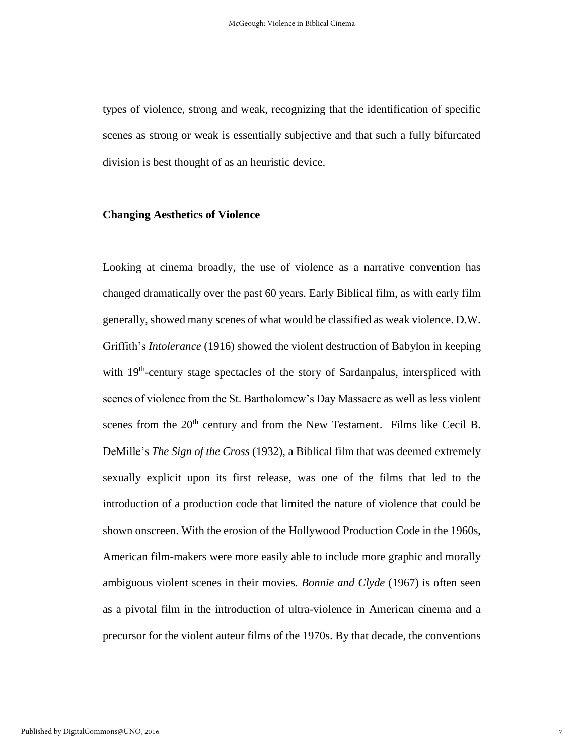types of violence, strong and weak, recognizing that the identification of specific scenes as strong or weak is essentially subjective and that such a fully bifurcated division is best thought of as an heuristic device.

#### **Changing Aesthetics of Violence**

Looking at cinema broadly, the use of violence as a narrative convention has changed dramatically over the past 60 years. Early Biblical film, as with early film generally, showed many scenes of what would be classified as weak violence. D.W. Griffith's *Intolerance* (1916) showed the violent destruction of Babylon in keeping with 19<sup>th</sup>-century stage spectacles of the story of Sardanpalus, interspliced with scenes of violence from the St. Bartholomew's Day Massacre as well as less violent scenes from the  $20<sup>th</sup>$  century and from the New Testament. Films like Cecil B. DeMille's *The Sign of the Cross* (1932)*,* a Biblical film that was deemed extremely sexually explicit upon its first release, was one of the films that led to the introduction of a production code that limited the nature of violence that could be shown onscreen. With the erosion of the Hollywood Production Code in the 1960s, American film-makers were more easily able to include more graphic and morally ambiguous violent scenes in their movies. *Bonnie and Clyde* (1967) is often seen as a pivotal film in the introduction of ultra-violence in American cinema and a precursor for the violent auteur films of the 1970s. By that decade, the conventions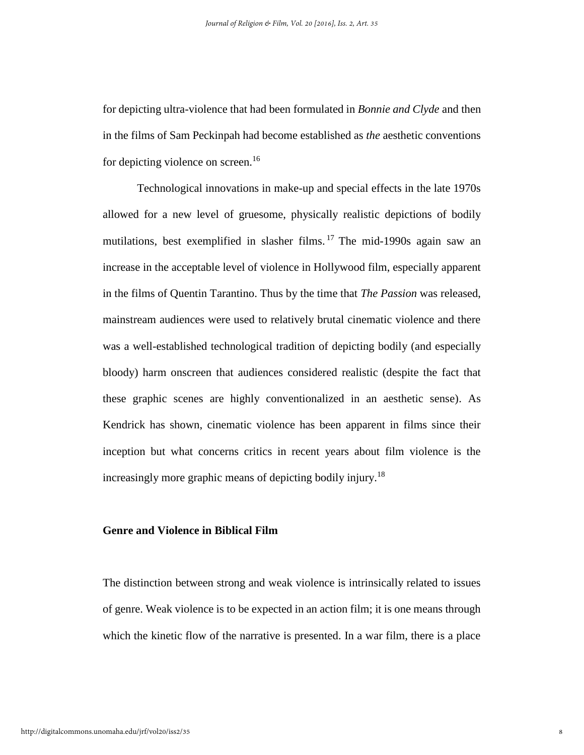for depicting ultra-violence that had been formulated in *Bonnie and Clyde* and then in the films of Sam Peckinpah had become established as *the* aesthetic conventions for depicting violence on screen.<sup>16</sup>

Technological innovations in make-up and special effects in the late 1970s allowed for a new level of gruesome, physically realistic depictions of bodily mutilations, best exemplified in slasher films.<sup>17</sup> The mid-1990s again saw an increase in the acceptable level of violence in Hollywood film, especially apparent in the films of Quentin Tarantino. Thus by the time that *The Passion* was released, mainstream audiences were used to relatively brutal cinematic violence and there was a well-established technological tradition of depicting bodily (and especially bloody) harm onscreen that audiences considered realistic (despite the fact that these graphic scenes are highly conventionalized in an aesthetic sense). As Kendrick has shown, cinematic violence has been apparent in films since their inception but what concerns critics in recent years about film violence is the increasingly more graphic means of depicting bodily injury.<sup>18</sup>

#### **Genre and Violence in Biblical Film**

The distinction between strong and weak violence is intrinsically related to issues of genre. Weak violence is to be expected in an action film; it is one means through which the kinetic flow of the narrative is presented. In a war film, there is a place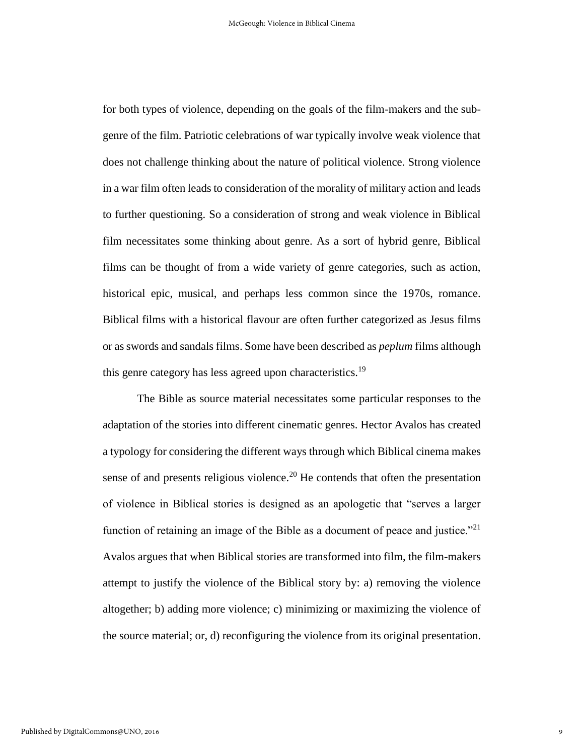for both types of violence, depending on the goals of the film-makers and the subgenre of the film. Patriotic celebrations of war typically involve weak violence that does not challenge thinking about the nature of political violence. Strong violence in a war film often leads to consideration of the morality of military action and leads to further questioning. So a consideration of strong and weak violence in Biblical film necessitates some thinking about genre. As a sort of hybrid genre, Biblical films can be thought of from a wide variety of genre categories, such as action, historical epic, musical, and perhaps less common since the 1970s, romance. Biblical films with a historical flavour are often further categorized as Jesus films or as swords and sandals films. Some have been described as *peplum* films although this genre category has less agreed upon characteristics.<sup>19</sup>

The Bible as source material necessitates some particular responses to the adaptation of the stories into different cinematic genres. Hector Avalos has created a typology for considering the different ways through which Biblical cinema makes sense of and presents religious violence.<sup>20</sup> He contends that often the presentation of violence in Biblical stories is designed as an apologetic that "serves a larger function of retaining an image of the Bible as a document of peace and justice.<sup>"21</sup> Avalos argues that when Biblical stories are transformed into film, the film-makers attempt to justify the violence of the Biblical story by: a) removing the violence altogether; b) adding more violence; c) minimizing or maximizing the violence of the source material; or, d) reconfiguring the violence from its original presentation.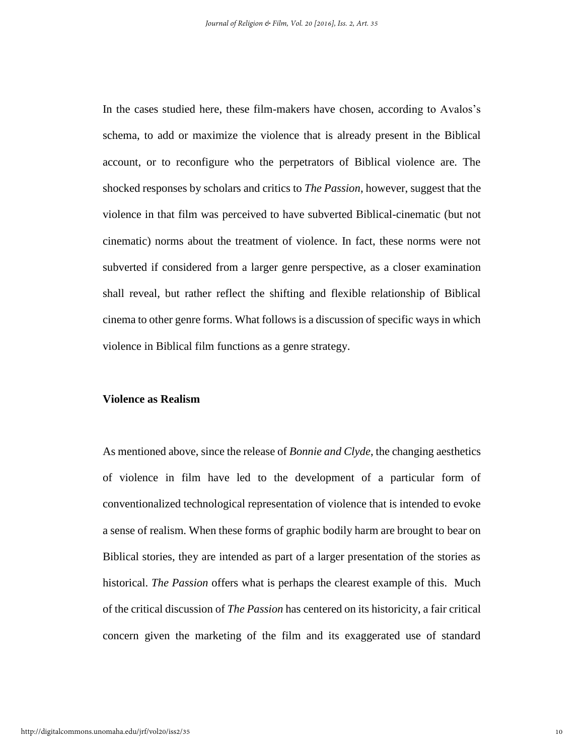In the cases studied here, these film-makers have chosen, according to Avalos's schema, to add or maximize the violence that is already present in the Biblical account, or to reconfigure who the perpetrators of Biblical violence are. The shocked responses by scholars and critics to *The Passion*, however, suggest that the violence in that film was perceived to have subverted Biblical-cinematic (but not cinematic) norms about the treatment of violence. In fact, these norms were not subverted if considered from a larger genre perspective, as a closer examination shall reveal, but rather reflect the shifting and flexible relationship of Biblical cinema to other genre forms. What follows is a discussion of specific ways in which violence in Biblical film functions as a genre strategy.

#### **Violence as Realism**

As mentioned above, since the release of *Bonnie and Clyde*, the changing aesthetics of violence in film have led to the development of a particular form of conventionalized technological representation of violence that is intended to evoke a sense of realism. When these forms of graphic bodily harm are brought to bear on Biblical stories, they are intended as part of a larger presentation of the stories as historical. *The Passion* offers what is perhaps the clearest example of this. Much of the critical discussion of *The Passion* has centered on its historicity, a fair critical concern given the marketing of the film and its exaggerated use of standard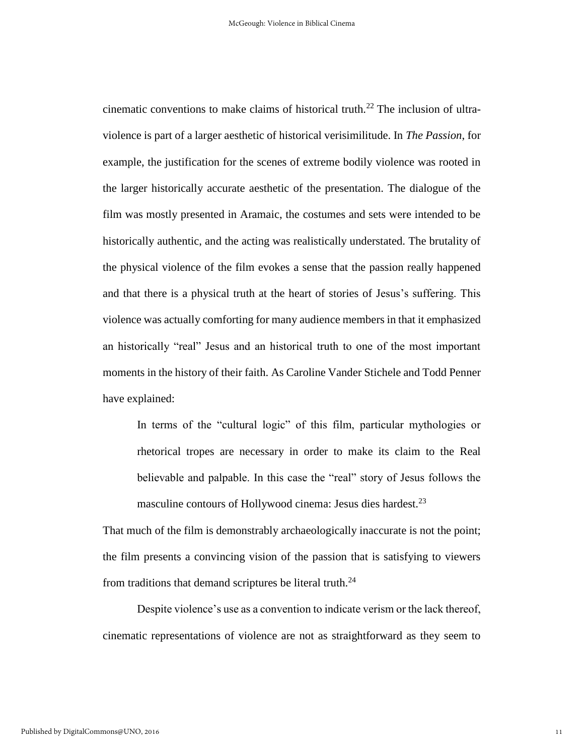cinematic conventions to make claims of historical truth.<sup>22</sup> The inclusion of ultraviolence is part of a larger aesthetic of historical verisimilitude. In *The Passion*, for example, the justification for the scenes of extreme bodily violence was rooted in the larger historically accurate aesthetic of the presentation. The dialogue of the film was mostly presented in Aramaic, the costumes and sets were intended to be historically authentic, and the acting was realistically understated. The brutality of the physical violence of the film evokes a sense that the passion really happened and that there is a physical truth at the heart of stories of Jesus's suffering. This violence was actually comforting for many audience members in that it emphasized an historically "real" Jesus and an historical truth to one of the most important moments in the history of their faith. As Caroline Vander Stichele and Todd Penner have explained:

In terms of the "cultural logic" of this film, particular mythologies or rhetorical tropes are necessary in order to make its claim to the Real believable and palpable. In this case the "real" story of Jesus follows the masculine contours of Hollywood cinema: Jesus dies hardest.<sup>23</sup>

That much of the film is demonstrably archaeologically inaccurate is not the point; the film presents a convincing vision of the passion that is satisfying to viewers from traditions that demand scriptures be literal truth.<sup>24</sup>

Despite violence's use as a convention to indicate verism or the lack thereof, cinematic representations of violence are not as straightforward as they seem to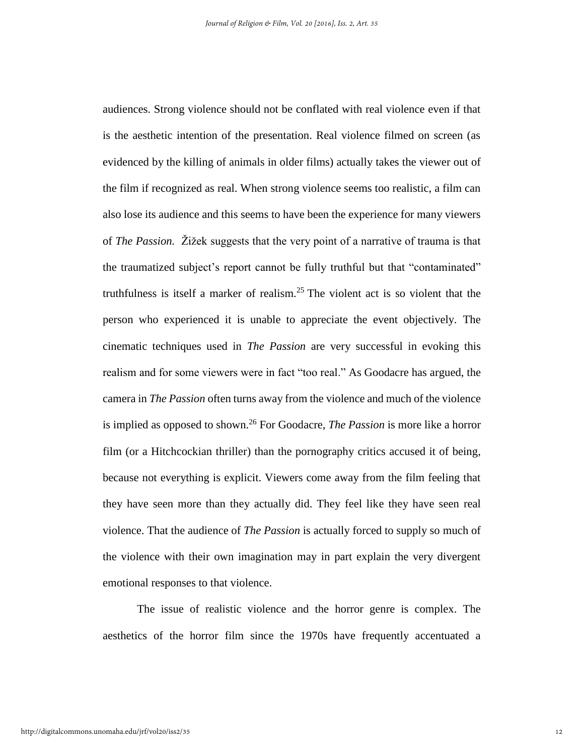audiences. Strong violence should not be conflated with real violence even if that is the aesthetic intention of the presentation. Real violence filmed on screen (as evidenced by the killing of animals in older films) actually takes the viewer out of the film if recognized as real. When strong violence seems too realistic, a film can also lose its audience and this seems to have been the experience for many viewers of *The Passion.* Žižek suggests that the very point of a narrative of trauma is that the traumatized subject's report cannot be fully truthful but that "contaminated" truthfulness is itself a marker of realism.<sup>25</sup> The violent act is so violent that the person who experienced it is unable to appreciate the event objectively. The cinematic techniques used in *The Passion* are very successful in evoking this realism and for some viewers were in fact "too real." As Goodacre has argued, the camera in *The Passion* often turns away from the violence and much of the violence is implied as opposed to shown.<sup>26</sup> For Goodacre, *The Passion* is more like a horror film (or a Hitchcockian thriller) than the pornography critics accused it of being, because not everything is explicit. Viewers come away from the film feeling that they have seen more than they actually did. They feel like they have seen real violence. That the audience of *The Passion* is actually forced to supply so much of the violence with their own imagination may in part explain the very divergent emotional responses to that violence.

The issue of realistic violence and the horror genre is complex. The aesthetics of the horror film since the 1970s have frequently accentuated a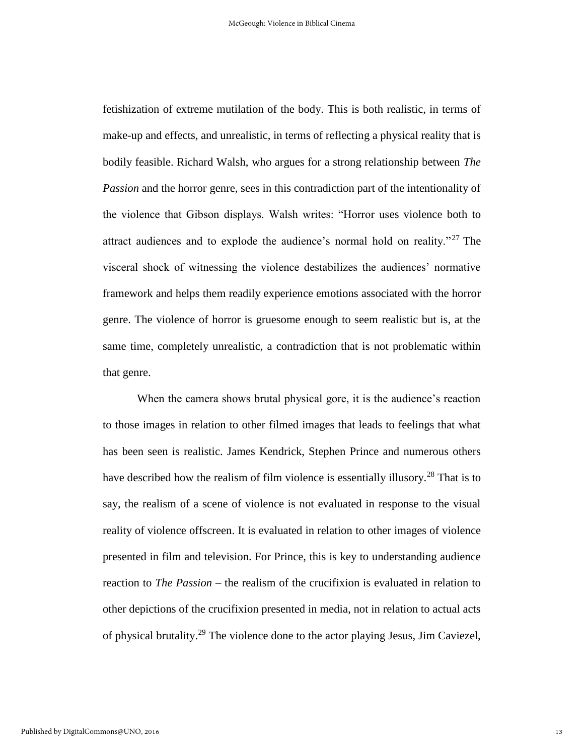fetishization of extreme mutilation of the body. This is both realistic, in terms of make-up and effects, and unrealistic, in terms of reflecting a physical reality that is bodily feasible. Richard Walsh, who argues for a strong relationship between *The Passion* and the horror genre, sees in this contradiction part of the intentionality of the violence that Gibson displays. Walsh writes: "Horror uses violence both to attract audiences and to explode the audience's normal hold on reality."<sup>27</sup> The visceral shock of witnessing the violence destabilizes the audiences' normative framework and helps them readily experience emotions associated with the horror genre. The violence of horror is gruesome enough to seem realistic but is, at the same time, completely unrealistic, a contradiction that is not problematic within that genre.

When the camera shows brutal physical gore, it is the audience's reaction to those images in relation to other filmed images that leads to feelings that what has been seen is realistic. James Kendrick, Stephen Prince and numerous others have described how the realism of film violence is essentially illusory.<sup>28</sup> That is to say, the realism of a scene of violence is not evaluated in response to the visual reality of violence offscreen. It is evaluated in relation to other images of violence presented in film and television. For Prince, this is key to understanding audience reaction to *The Passion* – the realism of the crucifixion is evaluated in relation to other depictions of the crucifixion presented in media, not in relation to actual acts of physical brutality.<sup>29</sup> The violence done to the actor playing Jesus, Jim Caviezel,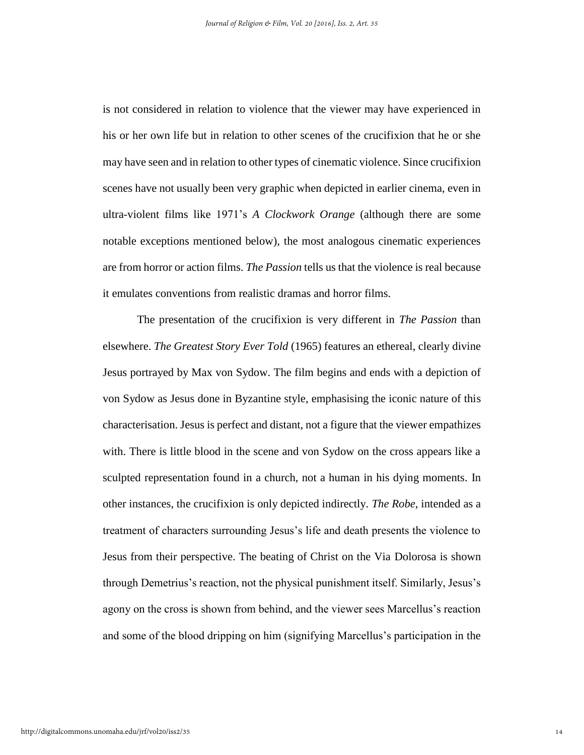is not considered in relation to violence that the viewer may have experienced in his or her own life but in relation to other scenes of the crucifixion that he or she may have seen and in relation to other types of cinematic violence. Since crucifixion scenes have not usually been very graphic when depicted in earlier cinema, even in ultra-violent films like 1971's *A Clockwork Orange* (although there are some notable exceptions mentioned below)*,* the most analogous cinematic experiences are from horror or action films. *The Passion* tells us that the violence is real because it emulates conventions from realistic dramas and horror films.

The presentation of the crucifixion is very different in *The Passion* than elsewhere. *The Greatest Story Ever Told* (1965) features an ethereal, clearly divine Jesus portrayed by Max von Sydow. The film begins and ends with a depiction of von Sydow as Jesus done in Byzantine style, emphasising the iconic nature of this characterisation. Jesus is perfect and distant, not a figure that the viewer empathizes with. There is little blood in the scene and von Sydow on the cross appears like a sculpted representation found in a church, not a human in his dying moments. In other instances, the crucifixion is only depicted indirectly. *The Robe*, intended as a treatment of characters surrounding Jesus's life and death presents the violence to Jesus from their perspective. The beating of Christ on the Via Dolorosa is shown through Demetrius's reaction, not the physical punishment itself. Similarly, Jesus's agony on the cross is shown from behind, and the viewer sees Marcellus's reaction and some of the blood dripping on him (signifying Marcellus's participation in the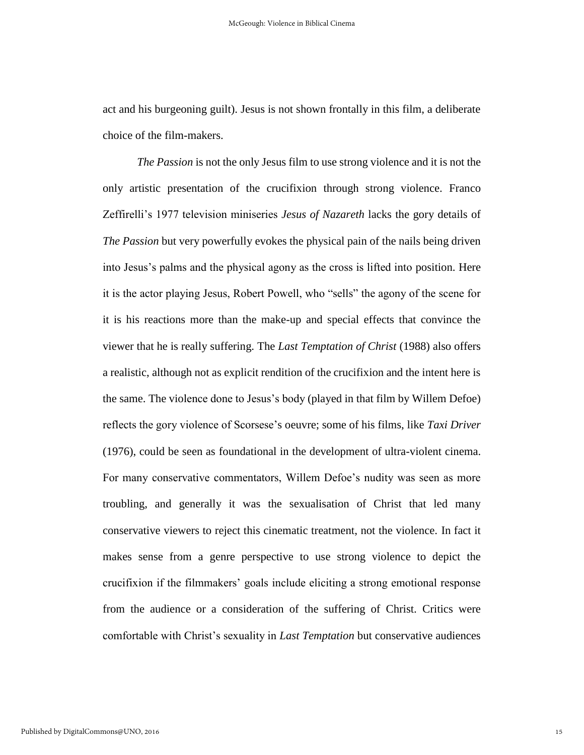act and his burgeoning guilt). Jesus is not shown frontally in this film, a deliberate choice of the film-makers.

*The Passion* is not the only Jesus film to use strong violence and it is not the only artistic presentation of the crucifixion through strong violence. Franco Zeffirelli's 1977 television miniseries *Jesus of Nazareth* lacks the gory details of *The Passion* but very powerfully evokes the physical pain of the nails being driven into Jesus's palms and the physical agony as the cross is lifted into position. Here it is the actor playing Jesus, Robert Powell, who "sells" the agony of the scene for it is his reactions more than the make-up and special effects that convince the viewer that he is really suffering. The *Last Temptation of Christ* (1988) also offers a realistic, although not as explicit rendition of the crucifixion and the intent here is the same. The violence done to Jesus's body (played in that film by Willem Defoe) reflects the gory violence of Scorsese's oeuvre; some of his films, like *Taxi Driver* (1976), could be seen as foundational in the development of ultra-violent cinema. For many conservative commentators, Willem Defoe's nudity was seen as more troubling, and generally it was the sexualisation of Christ that led many conservative viewers to reject this cinematic treatment, not the violence. In fact it makes sense from a genre perspective to use strong violence to depict the crucifixion if the filmmakers' goals include eliciting a strong emotional response from the audience or a consideration of the suffering of Christ. Critics were comfortable with Christ's sexuality in *Last Temptation* but conservative audiences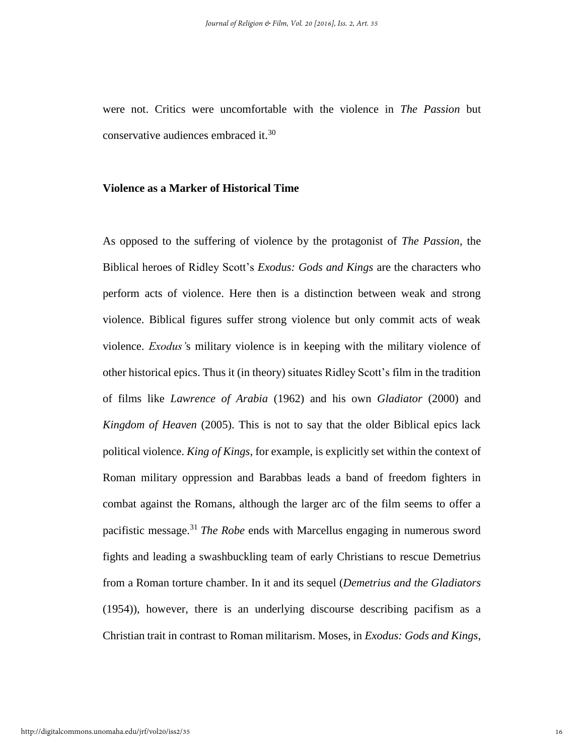were not. Critics were uncomfortable with the violence in *The Passion* but conservative audiences embraced it.<sup>30</sup>

#### **Violence as a Marker of Historical Time**

As opposed to the suffering of violence by the protagonist of *The Passion*, the Biblical heroes of Ridley Scott's *Exodus: Gods and Kings* are the characters who perform acts of violence. Here then is a distinction between weak and strong violence. Biblical figures suffer strong violence but only commit acts of weak violence. *Exodus'*s military violence is in keeping with the military violence of other historical epics. Thus it (in theory) situates Ridley Scott's film in the tradition of films like *Lawrence of Arabia* (1962) and his own *Gladiator* (2000) and *Kingdom of Heaven* (2005). This is not to say that the older Biblical epics lack political violence. *King of Kings,* for example, is explicitly set within the context of Roman military oppression and Barabbas leads a band of freedom fighters in combat against the Romans, although the larger arc of the film seems to offer a pacifistic message. <sup>31</sup> *The Robe* ends with Marcellus engaging in numerous sword fights and leading a swashbuckling team of early Christians to rescue Demetrius from a Roman torture chamber. In it and its sequel (*Demetrius and the Gladiators* (1954)), however, there is an underlying discourse describing pacifism as a Christian trait in contrast to Roman militarism. Moses, in *Exodus: Gods and Kings*,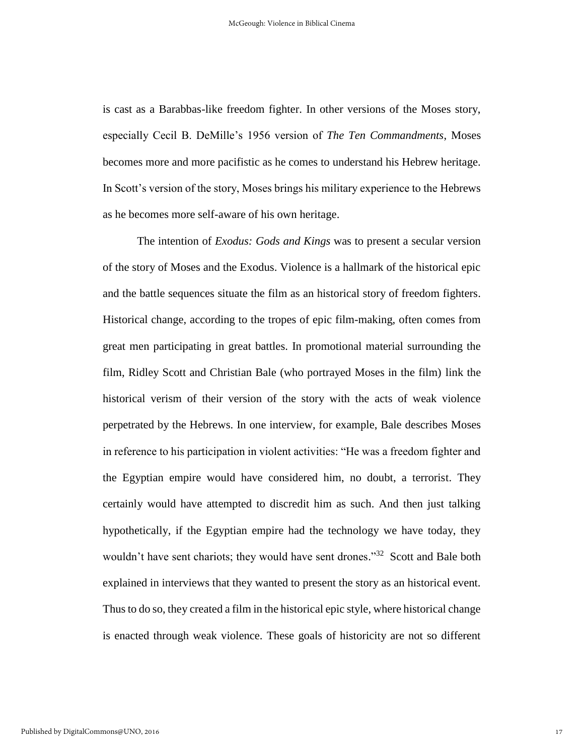is cast as a Barabbas-like freedom fighter. In other versions of the Moses story, especially Cecil B. DeMille's 1956 version of *The Ten Commandments*, Moses becomes more and more pacifistic as he comes to understand his Hebrew heritage. In Scott's version of the story, Moses brings his military experience to the Hebrews as he becomes more self-aware of his own heritage.

The intention of *Exodus: Gods and Kings* was to present a secular version of the story of Moses and the Exodus. Violence is a hallmark of the historical epic and the battle sequences situate the film as an historical story of freedom fighters. Historical change, according to the tropes of epic film-making, often comes from great men participating in great battles. In promotional material surrounding the film, Ridley Scott and Christian Bale (who portrayed Moses in the film) link the historical verism of their version of the story with the acts of weak violence perpetrated by the Hebrews. In one interview, for example, Bale describes Moses in reference to his participation in violent activities: "He was a freedom fighter and the Egyptian empire would have considered him, no doubt, a terrorist. They certainly would have attempted to discredit him as such. And then just talking hypothetically, if the Egyptian empire had the technology we have today, they wouldn't have sent chariots; they would have sent drones."<sup>32</sup> Scott and Bale both explained in interviews that they wanted to present the story as an historical event. Thus to do so, they created a film in the historical epic style, where historical change is enacted through weak violence. These goals of historicity are not so different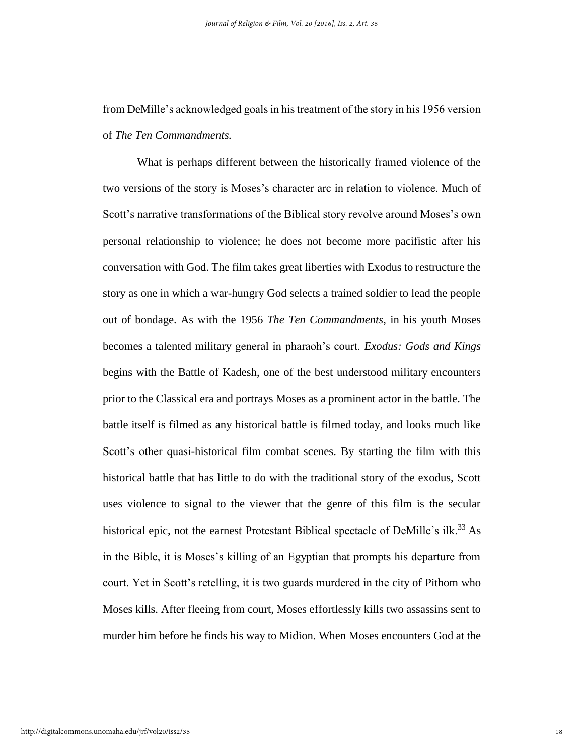from DeMille's acknowledged goals in his treatment of the story in his 1956 version of *The Ten Commandments.*

What is perhaps different between the historically framed violence of the two versions of the story is Moses's character arc in relation to violence. Much of Scott's narrative transformations of the Biblical story revolve around Moses's own personal relationship to violence; he does not become more pacifistic after his conversation with God. The film takes great liberties with Exodus to restructure the story as one in which a war-hungry God selects a trained soldier to lead the people out of bondage. As with the 1956 *The Ten Commandments*, in his youth Moses becomes a talented military general in pharaoh's court. *Exodus: Gods and Kings* begins with the Battle of Kadesh, one of the best understood military encounters prior to the Classical era and portrays Moses as a prominent actor in the battle. The battle itself is filmed as any historical battle is filmed today, and looks much like Scott's other quasi-historical film combat scenes. By starting the film with this historical battle that has little to do with the traditional story of the exodus, Scott uses violence to signal to the viewer that the genre of this film is the secular historical epic, not the earnest Protestant Biblical spectacle of DeMille's ilk.<sup>33</sup> As in the Bible, it is Moses's killing of an Egyptian that prompts his departure from court. Yet in Scott's retelling, it is two guards murdered in the city of Pithom who Moses kills. After fleeing from court, Moses effortlessly kills two assassins sent to murder him before he finds his way to Midion. When Moses encounters God at the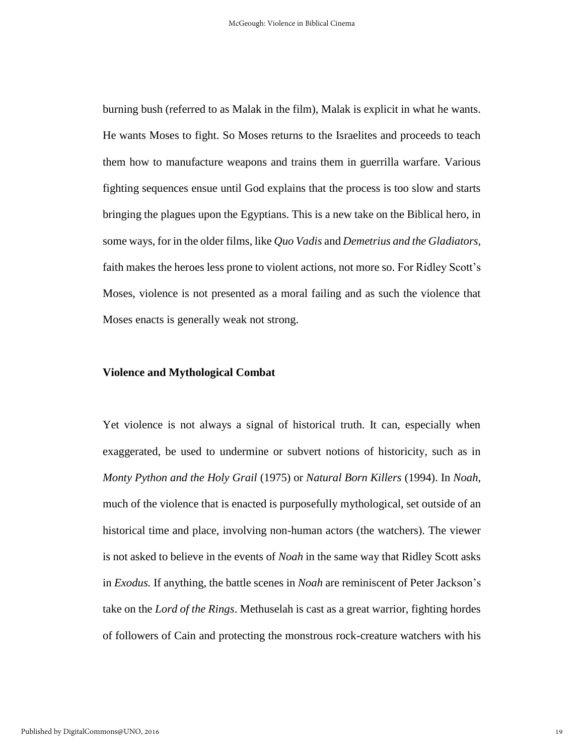burning bush (referred to as Malak in the film), Malak is explicit in what he wants. He wants Moses to fight. So Moses returns to the Israelites and proceeds to teach them how to manufacture weapons and trains them in guerrilla warfare. Various fighting sequences ensue until God explains that the process is too slow and starts bringing the plagues upon the Egyptians. This is a new take on the Biblical hero, in some ways, for in the older films, like *Quo Vadis* and *Demetrius and the Gladiators,*  faith makes the heroes less prone to violent actions, not more so. For Ridley Scott's Moses, violence is not presented as a moral failing and as such the violence that Moses enacts is generally weak not strong.

#### **Violence and Mythological Combat**

Yet violence is not always a signal of historical truth. It can, especially when exaggerated, be used to undermine or subvert notions of historicity, such as in *Monty Python and the Holy Grail* (1975) or *Natural Born Killers* (1994). In *Noah*, much of the violence that is enacted is purposefully mythological, set outside of an historical time and place, involving non-human actors (the watchers). The viewer is not asked to believe in the events of *Noah* in the same way that Ridley Scott asks in *Exodus.* If anything, the battle scenes in *Noah* are reminiscent of Peter Jackson's take on the *Lord of the Rings*. Methuselah is cast as a great warrior, fighting hordes of followers of Cain and protecting the monstrous rock-creature watchers with his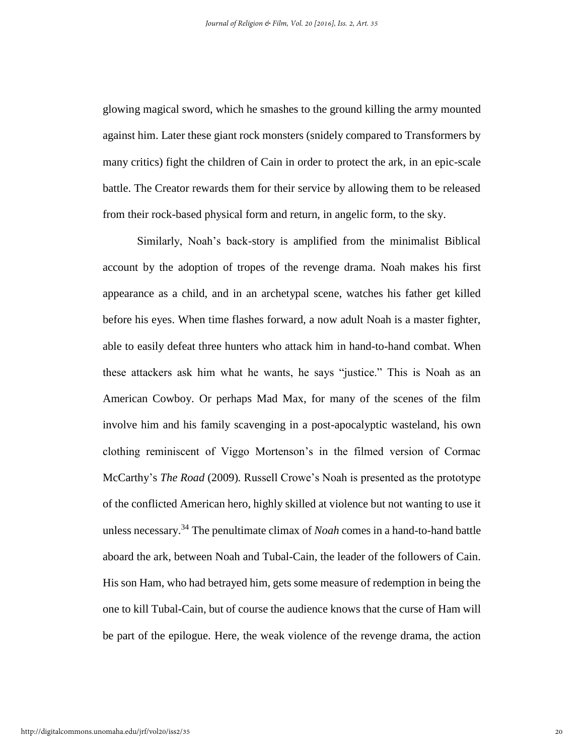glowing magical sword, which he smashes to the ground killing the army mounted against him. Later these giant rock monsters (snidely compared to Transformers by many critics) fight the children of Cain in order to protect the ark, in an epic-scale battle. The Creator rewards them for their service by allowing them to be released from their rock-based physical form and return, in angelic form, to the sky.

Similarly, Noah's back-story is amplified from the minimalist Biblical account by the adoption of tropes of the revenge drama. Noah makes his first appearance as a child, and in an archetypal scene, watches his father get killed before his eyes. When time flashes forward, a now adult Noah is a master fighter, able to easily defeat three hunters who attack him in hand-to-hand combat. When these attackers ask him what he wants, he says "justice." This is Noah as an American Cowboy. Or perhaps Mad Max, for many of the scenes of the film involve him and his family scavenging in a post-apocalyptic wasteland, his own clothing reminiscent of Viggo Mortenson's in the filmed version of Cormac McCarthy's *The Road* (2009)*.* Russell Crowe's Noah is presented as the prototype of the conflicted American hero, highly skilled at violence but not wanting to use it unless necessary. <sup>34</sup> The penultimate climax of *Noah* comes in a hand-to-hand battle aboard the ark, between Noah and Tubal-Cain, the leader of the followers of Cain. His son Ham, who had betrayed him, gets some measure of redemption in being the one to kill Tubal-Cain, but of course the audience knows that the curse of Ham will be part of the epilogue. Here, the weak violence of the revenge drama, the action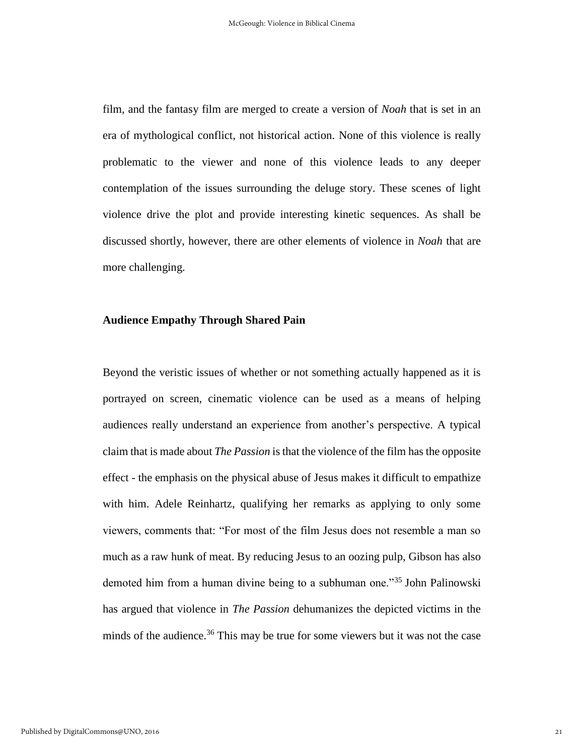film, and the fantasy film are merged to create a version of *Noah* that is set in an era of mythological conflict, not historical action. None of this violence is really problematic to the viewer and none of this violence leads to any deeper contemplation of the issues surrounding the deluge story. These scenes of light violence drive the plot and provide interesting kinetic sequences. As shall be discussed shortly, however, there are other elements of violence in *Noah* that are more challenging.

#### **Audience Empathy Through Shared Pain**

Beyond the veristic issues of whether or not something actually happened as it is portrayed on screen, cinematic violence can be used as a means of helping audiences really understand an experience from another's perspective. A typical claim that is made about *The Passion* is that the violence of the film has the opposite effect - the emphasis on the physical abuse of Jesus makes it difficult to empathize with him. Adele Reinhartz, qualifying her remarks as applying to only some viewers, comments that: "For most of the film Jesus does not resemble a man so much as a raw hunk of meat. By reducing Jesus to an oozing pulp, Gibson has also demoted him from a human divine being to a subhuman one."<sup>35</sup> John Palinowski has argued that violence in *The Passion* dehumanizes the depicted victims in the minds of the audience.<sup>36</sup> This may be true for some viewers but it was not the case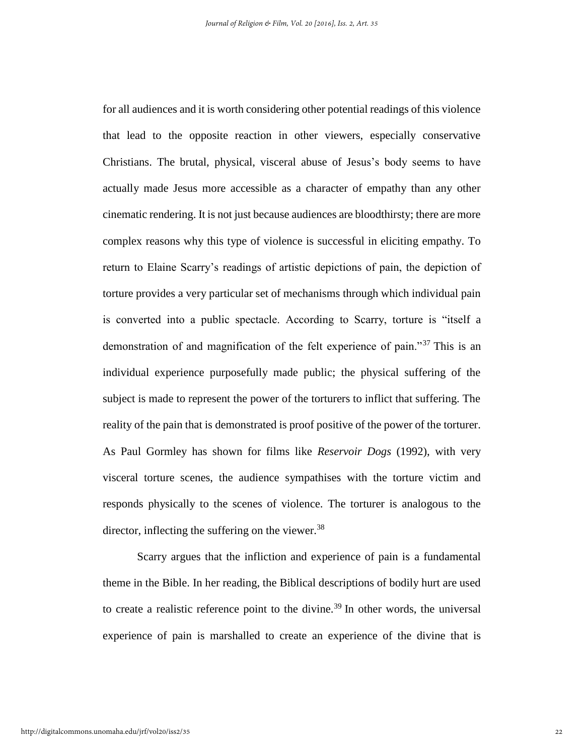for all audiences and it is worth considering other potential readings of this violence that lead to the opposite reaction in other viewers, especially conservative Christians. The brutal, physical, visceral abuse of Jesus's body seems to have actually made Jesus more accessible as a character of empathy than any other cinematic rendering. It is not just because audiences are bloodthirsty; there are more complex reasons why this type of violence is successful in eliciting empathy. To return to Elaine Scarry's readings of artistic depictions of pain, the depiction of torture provides a very particular set of mechanisms through which individual pain is converted into a public spectacle. According to Scarry, torture is "itself a demonstration of and magnification of the felt experience of pain."<sup>37</sup> This is an individual experience purposefully made public; the physical suffering of the subject is made to represent the power of the torturers to inflict that suffering. The reality of the pain that is demonstrated is proof positive of the power of the torturer. As Paul Gormley has shown for films like *Reservoir Dogs* (1992), with very visceral torture scenes, the audience sympathises with the torture victim and responds physically to the scenes of violence. The torturer is analogous to the director, inflecting the suffering on the viewer.  $38$ 

Scarry argues that the infliction and experience of pain is a fundamental theme in the Bible. In her reading, the Biblical descriptions of bodily hurt are used to create a realistic reference point to the divine.<sup>39</sup> In other words, the universal experience of pain is marshalled to create an experience of the divine that is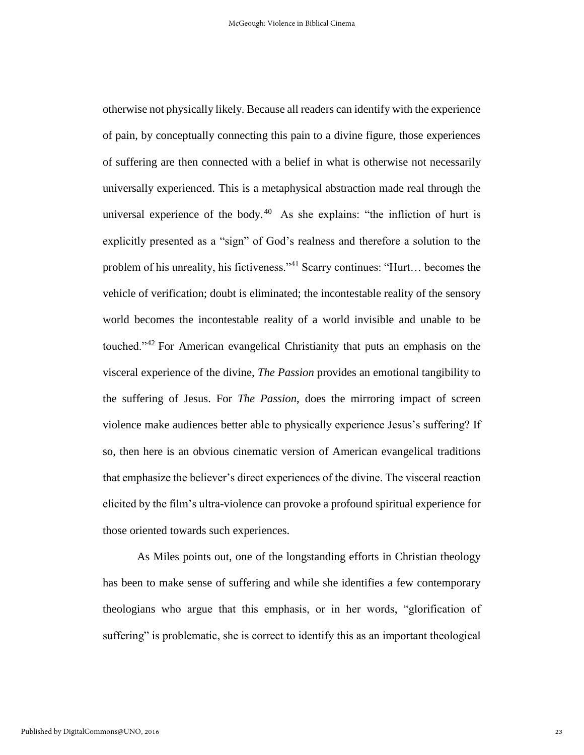otherwise not physically likely. Because all readers can identify with the experience of pain, by conceptually connecting this pain to a divine figure, those experiences of suffering are then connected with a belief in what is otherwise not necessarily universally experienced. This is a metaphysical abstraction made real through the universal experience of the body.<sup>40</sup> As she explains: "the infliction of hurt is explicitly presented as a "sign" of God's realness and therefore a solution to the problem of his unreality, his fictiveness."<sup>41</sup> Scarry continues: "Hurt… becomes the vehicle of verification; doubt is eliminated; the incontestable reality of the sensory world becomes the incontestable reality of a world invisible and unable to be touched."<sup>42</sup> For American evangelical Christianity that puts an emphasis on the visceral experience of the divine, *The Passion* provides an emotional tangibility to the suffering of Jesus. For *The Passion*, does the mirroring impact of screen violence make audiences better able to physically experience Jesus's suffering? If so, then here is an obvious cinematic version of American evangelical traditions that emphasize the believer's direct experiences of the divine. The visceral reaction elicited by the film's ultra-violence can provoke a profound spiritual experience for those oriented towards such experiences.

As Miles points out, one of the longstanding efforts in Christian theology has been to make sense of suffering and while she identifies a few contemporary theologians who argue that this emphasis, or in her words, "glorification of suffering" is problematic, she is correct to identify this as an important theological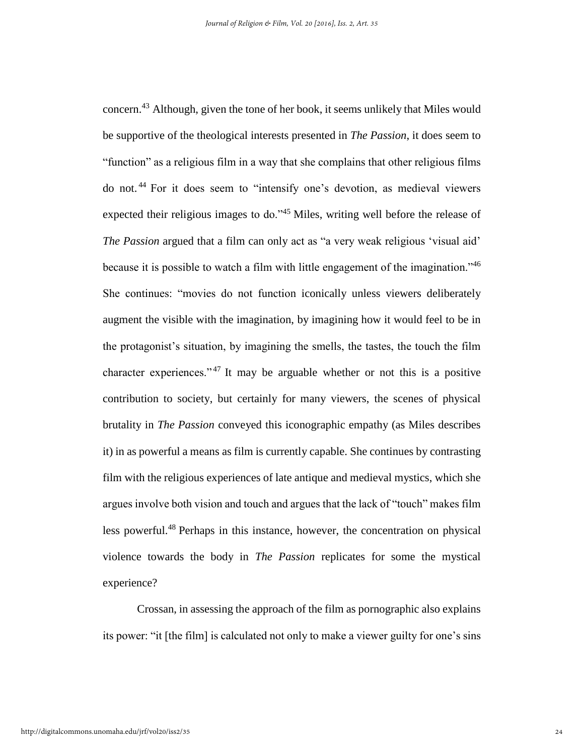concern.<sup>43</sup> Although, given the tone of her book, it seems unlikely that Miles would be supportive of the theological interests presented in *The Passion*, it does seem to "function" as a religious film in a way that she complains that other religious films do not. <sup>44</sup> For it does seem to "intensify one's devotion, as medieval viewers expected their religious images to do."<sup>45</sup> Miles, writing well before the release of *The Passion* argued that a film can only act as "a very weak religious 'visual aid' because it is possible to watch a film with little engagement of the imagination."<sup>46</sup> She continues: "movies do not function iconically unless viewers deliberately augment the visible with the imagination, by imagining how it would feel to be in the protagonist's situation, by imagining the smells, the tastes, the touch the film character experiences."<sup>47</sup> It may be arguable whether or not this is a positive contribution to society, but certainly for many viewers, the scenes of physical brutality in *The Passion* conveyed this iconographic empathy (as Miles describes it) in as powerful a means as film is currently capable. She continues by contrasting film with the religious experiences of late antique and medieval mystics, which she argues involve both vision and touch and argues that the lack of "touch" makes film less powerful.<sup>48</sup> Perhaps in this instance, however, the concentration on physical violence towards the body in *The Passion* replicates for some the mystical experience?

Crossan, in assessing the approach of the film as pornographic also explains its power: "it [the film] is calculated not only to make a viewer guilty for one's sins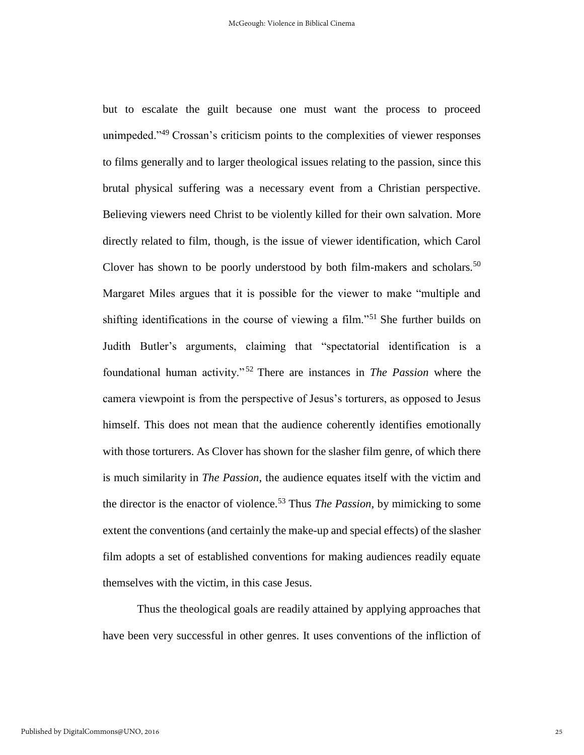but to escalate the guilt because one must want the process to proceed unimpeded.<sup>149</sup> Crossan's criticism points to the complexities of viewer responses to films generally and to larger theological issues relating to the passion, since this brutal physical suffering was a necessary event from a Christian perspective. Believing viewers need Christ to be violently killed for their own salvation. More directly related to film, though, is the issue of viewer identification, which Carol Clover has shown to be poorly understood by both film-makers and scholars.<sup>50</sup> Margaret Miles argues that it is possible for the viewer to make "multiple and shifting identifications in the course of viewing a film."<sup>51</sup> She further builds on Judith Butler's arguments, claiming that "spectatorial identification is a foundational human activity." <sup>52</sup> There are instances in *The Passion* where the camera viewpoint is from the perspective of Jesus's torturers, as opposed to Jesus himself. This does not mean that the audience coherently identifies emotionally with those torturers. As Clover has shown for the slasher film genre, of which there is much similarity in *The Passion*, the audience equates itself with the victim and the director is the enactor of violence.<sup>53</sup> Thus *The Passion,* by mimicking to some extent the conventions (and certainly the make-up and special effects) of the slasher film adopts a set of established conventions for making audiences readily equate themselves with the victim, in this case Jesus.

Thus the theological goals are readily attained by applying approaches that have been very successful in other genres. It uses conventions of the infliction of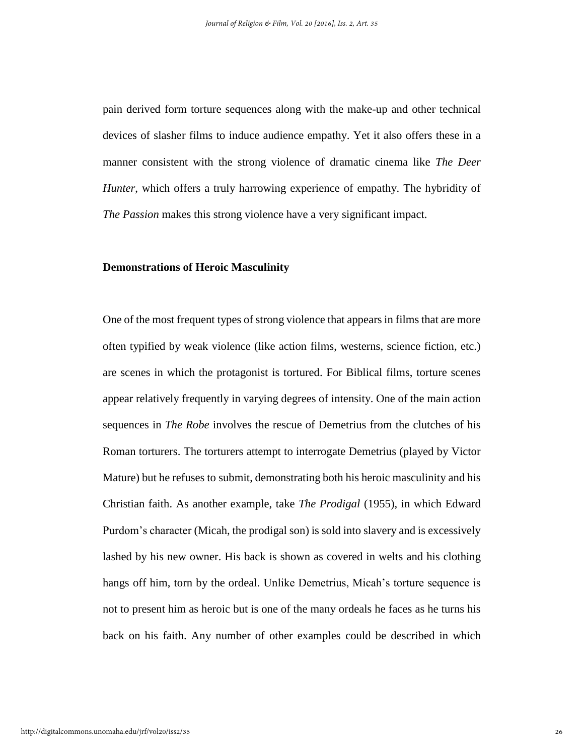pain derived form torture sequences along with the make-up and other technical devices of slasher films to induce audience empathy. Yet it also offers these in a manner consistent with the strong violence of dramatic cinema like *The Deer Hunter*, which offers a truly harrowing experience of empathy. The hybridity of *The Passion* makes this strong violence have a very significant impact.

#### **Demonstrations of Heroic Masculinity**

One of the most frequent types of strong violence that appears in films that are more often typified by weak violence (like action films, westerns, science fiction, etc.) are scenes in which the protagonist is tortured. For Biblical films, torture scenes appear relatively frequently in varying degrees of intensity. One of the main action sequences in *The Robe* involves the rescue of Demetrius from the clutches of his Roman torturers. The torturers attempt to interrogate Demetrius (played by Victor Mature) but he refuses to submit, demonstrating both his heroic masculinity and his Christian faith. As another example, take *The Prodigal* (1955), in which Edward Purdom's character (Micah, the prodigal son) is sold into slavery and is excessively lashed by his new owner. His back is shown as covered in welts and his clothing hangs off him, torn by the ordeal. Unlike Demetrius, Micah's torture sequence is not to present him as heroic but is one of the many ordeals he faces as he turns his back on his faith. Any number of other examples could be described in which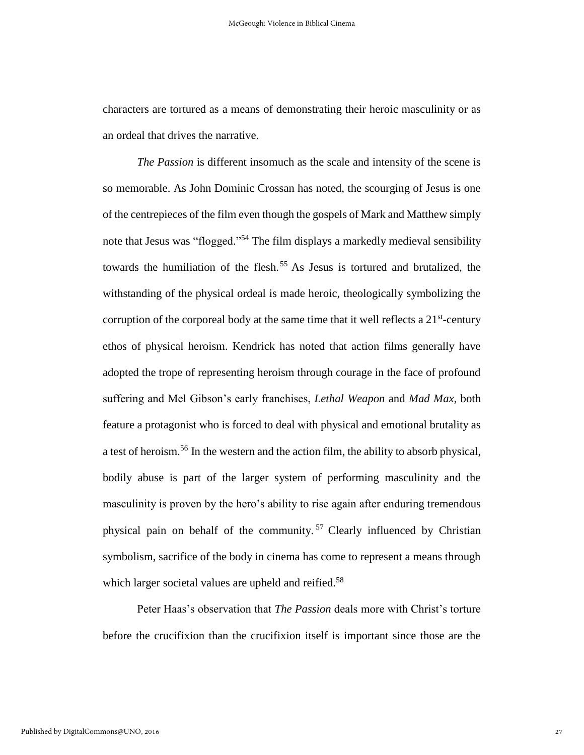characters are tortured as a means of demonstrating their heroic masculinity or as an ordeal that drives the narrative.

*The Passion* is different insomuch as the scale and intensity of the scene is so memorable. As John Dominic Crossan has noted, the scourging of Jesus is one of the centrepieces of the film even though the gospels of Mark and Matthew simply note that Jesus was "flogged."<sup>54</sup> The film displays a markedly medieval sensibility towards the humiliation of the flesh.<sup>55</sup> As Jesus is tortured and brutalized, the withstanding of the physical ordeal is made heroic, theologically symbolizing the corruption of the corporeal body at the same time that it well reflects a  $21<sup>st</sup>$ -century ethos of physical heroism. Kendrick has noted that action films generally have adopted the trope of representing heroism through courage in the face of profound suffering and Mel Gibson's early franchises, *Lethal Weapon* and *Mad Max*, both feature a protagonist who is forced to deal with physical and emotional brutality as a test of heroism.<sup>56</sup> In the western and the action film, the ability to absorb physical, bodily abuse is part of the larger system of performing masculinity and the masculinity is proven by the hero's ability to rise again after enduring tremendous physical pain on behalf of the community. <sup>57</sup> Clearly influenced by Christian symbolism, sacrifice of the body in cinema has come to represent a means through which larger societal values are upheld and reified.<sup>58</sup>

Peter Haas's observation that *The Passion* deals more with Christ's torture before the crucifixion than the crucifixion itself is important since those are the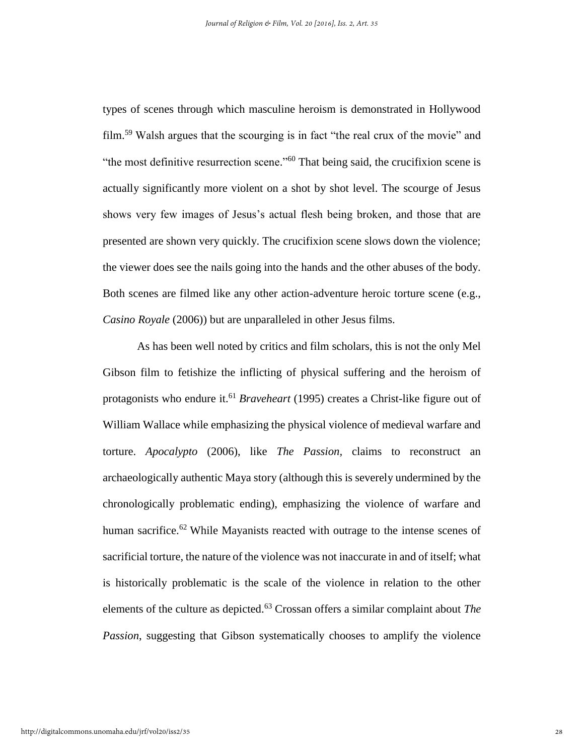types of scenes through which masculine heroism is demonstrated in Hollywood film.<sup>59</sup> Walsh argues that the scourging is in fact "the real crux of the movie" and "the most definitive resurrection scene." <sup>60</sup> That being said, the crucifixion scene is actually significantly more violent on a shot by shot level. The scourge of Jesus shows very few images of Jesus's actual flesh being broken, and those that are presented are shown very quickly. The crucifixion scene slows down the violence; the viewer does see the nails going into the hands and the other abuses of the body. Both scenes are filmed like any other action-adventure heroic torture scene (e.g., *Casino Royale* (2006)) but are unparalleled in other Jesus films.

As has been well noted by critics and film scholars, this is not the only Mel Gibson film to fetishize the inflicting of physical suffering and the heroism of protagonists who endure it.<sup>61</sup> *Braveheart* (1995) creates a Christ-like figure out of William Wallace while emphasizing the physical violence of medieval warfare and torture. *Apocalypto* (2006), like *The Passion,* claims to reconstruct an archaeologically authentic Maya story (although this is severely undermined by the chronologically problematic ending), emphasizing the violence of warfare and human sacrifice.<sup>62</sup> While Mayanists reacted with outrage to the intense scenes of sacrificial torture, the nature of the violence was not inaccurate in and of itself; what is historically problematic is the scale of the violence in relation to the other elements of the culture as depicted.<sup>63</sup> Crossan offers a similar complaint about *The Passion*, suggesting that Gibson systematically chooses to amplify the violence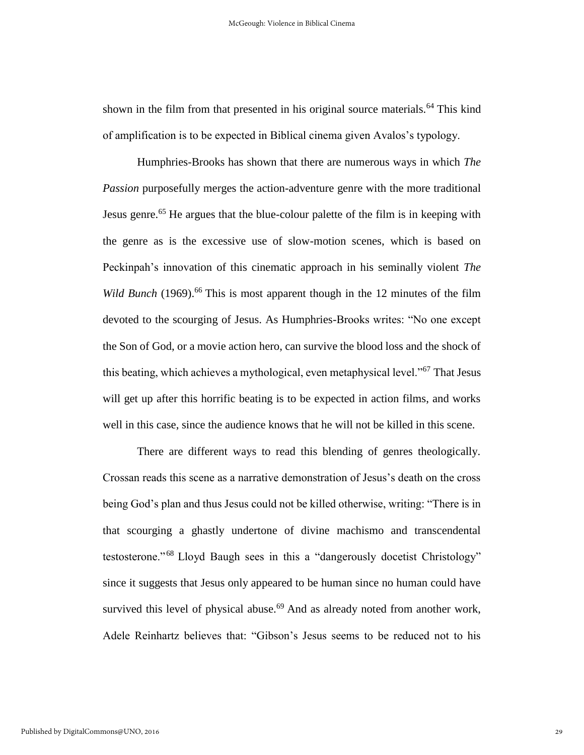shown in the film from that presented in his original source materials.<sup>64</sup> This kind of amplification is to be expected in Biblical cinema given Avalos's typology.

Humphries-Brooks has shown that there are numerous ways in which *The Passion* purposefully merges the action-adventure genre with the more traditional Jesus genre.<sup>65</sup> He argues that the blue-colour palette of the film is in keeping with the genre as is the excessive use of slow-motion scenes, which is based on Peckinpah's innovation of this cinematic approach in his seminally violent *The*  Wild Bunch (1969).<sup>66</sup> This is most apparent though in the 12 minutes of the film devoted to the scourging of Jesus. As Humphries-Brooks writes: "No one except the Son of God, or a movie action hero, can survive the blood loss and the shock of this beating, which achieves a mythological, even metaphysical level."<sup>67</sup> That Jesus will get up after this horrific beating is to be expected in action films, and works well in this case, since the audience knows that he will not be killed in this scene.

There are different ways to read this blending of genres theologically. Crossan reads this scene as a narrative demonstration of Jesus's death on the cross being God's plan and thus Jesus could not be killed otherwise, writing: "There is in that scourging a ghastly undertone of divine machismo and transcendental testosterone." <sup>68</sup> Lloyd Baugh sees in this a "dangerously docetist Christology" since it suggests that Jesus only appeared to be human since no human could have survived this level of physical abuse. $69$  And as already noted from another work, Adele Reinhartz believes that: "Gibson's Jesus seems to be reduced not to his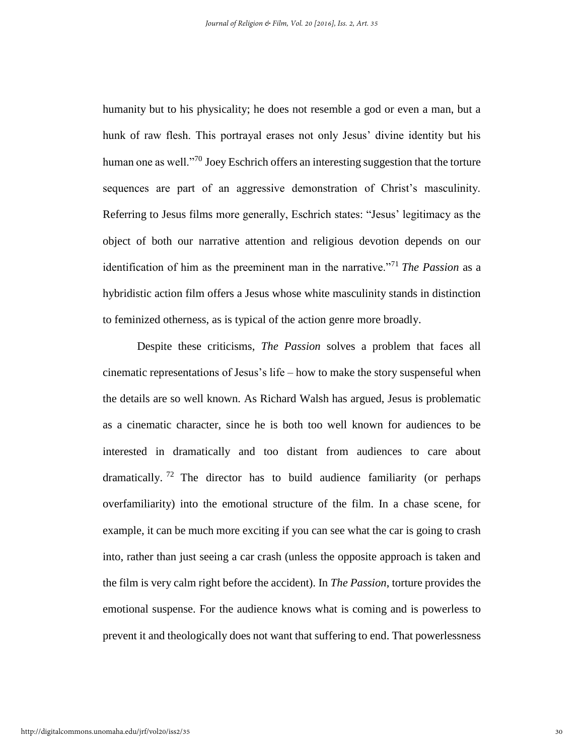humanity but to his physicality; he does not resemble a god or even a man, but a hunk of raw flesh. This portrayal erases not only Jesus' divine identity but his human one as well."<sup>70</sup> Joey Eschrich offers an interesting suggestion that the torture sequences are part of an aggressive demonstration of Christ's masculinity. Referring to Jesus films more generally, Eschrich states: "Jesus' legitimacy as the object of both our narrative attention and religious devotion depends on our identification of him as the preeminent man in the narrative."<sup>71</sup> *The Passion* as a hybridistic action film offers a Jesus whose white masculinity stands in distinction to feminized otherness, as is typical of the action genre more broadly.

Despite these criticisms, *The Passion* solves a problem that faces all cinematic representations of Jesus's life – how to make the story suspenseful when the details are so well known. As Richard Walsh has argued, Jesus is problematic as a cinematic character, since he is both too well known for audiences to be interested in dramatically and too distant from audiences to care about dramatically. <sup>72</sup> The director has to build audience familiarity (or perhaps overfamiliarity) into the emotional structure of the film. In a chase scene, for example, it can be much more exciting if you can see what the car is going to crash into, rather than just seeing a car crash (unless the opposite approach is taken and the film is very calm right before the accident). In *The Passion*, torture provides the emotional suspense. For the audience knows what is coming and is powerless to prevent it and theologically does not want that suffering to end. That powerlessness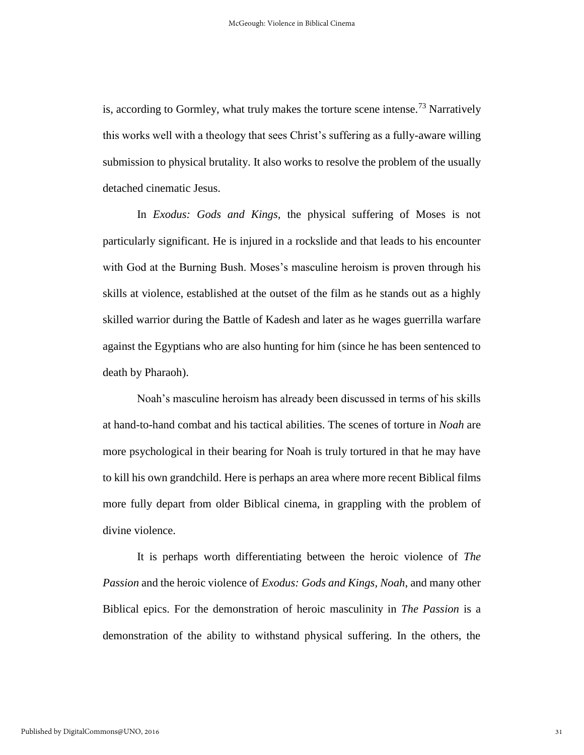is, according to Gormley, what truly makes the torture scene intense.<sup>73</sup> Narratively this works well with a theology that sees Christ's suffering as a fully-aware willing submission to physical brutality. It also works to resolve the problem of the usually detached cinematic Jesus.

In *Exodus: Gods and Kings,* the physical suffering of Moses is not particularly significant. He is injured in a rockslide and that leads to his encounter with God at the Burning Bush. Moses's masculine heroism is proven through his skills at violence, established at the outset of the film as he stands out as a highly skilled warrior during the Battle of Kadesh and later as he wages guerrilla warfare against the Egyptians who are also hunting for him (since he has been sentenced to death by Pharaoh).

Noah's masculine heroism has already been discussed in terms of his skills at hand-to-hand combat and his tactical abilities. The scenes of torture in *Noah* are more psychological in their bearing for Noah is truly tortured in that he may have to kill his own grandchild. Here is perhaps an area where more recent Biblical films more fully depart from older Biblical cinema, in grappling with the problem of divine violence.

It is perhaps worth differentiating between the heroic violence of *The Passion* and the heroic violence of *Exodus: Gods and Kings, Noah*, and many other Biblical epics. For the demonstration of heroic masculinity in *The Passion* is a demonstration of the ability to withstand physical suffering. In the others, the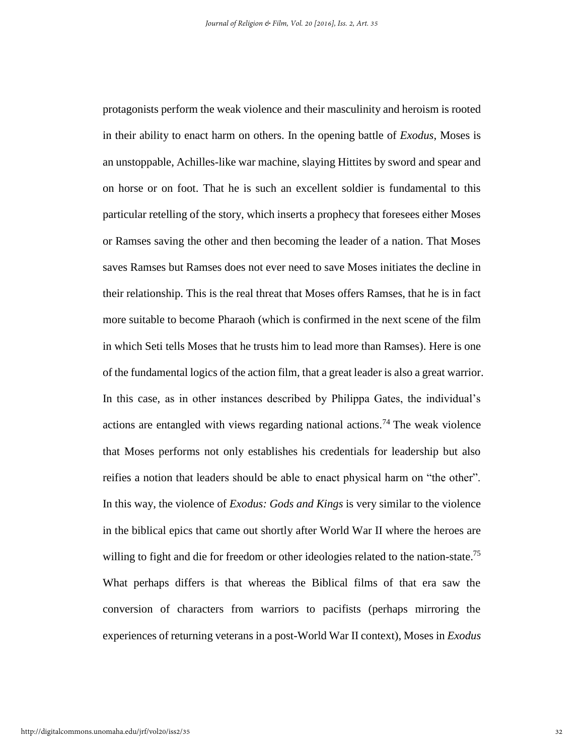protagonists perform the weak violence and their masculinity and heroism is rooted in their ability to enact harm on others. In the opening battle of *Exodus*, Moses is an unstoppable, Achilles-like war machine, slaying Hittites by sword and spear and on horse or on foot. That he is such an excellent soldier is fundamental to this particular retelling of the story, which inserts a prophecy that foresees either Moses or Ramses saving the other and then becoming the leader of a nation. That Moses saves Ramses but Ramses does not ever need to save Moses initiates the decline in their relationship. This is the real threat that Moses offers Ramses, that he is in fact more suitable to become Pharaoh (which is confirmed in the next scene of the film in which Seti tells Moses that he trusts him to lead more than Ramses). Here is one of the fundamental logics of the action film, that a great leader is also a great warrior. In this case, as in other instances described by Philippa Gates, the individual's actions are entangled with views regarding national actions.<sup>74</sup> The weak violence that Moses performs not only establishes his credentials for leadership but also reifies a notion that leaders should be able to enact physical harm on "the other". In this way, the violence of *Exodus: Gods and Kings* is very similar to the violence in the biblical epics that came out shortly after World War II where the heroes are willing to fight and die for freedom or other ideologies related to the nation-state.<sup>75</sup> What perhaps differs is that whereas the Biblical films of that era saw the conversion of characters from warriors to pacifists (perhaps mirroring the experiences of returning veterans in a post-World War II context), Moses in *Exodus*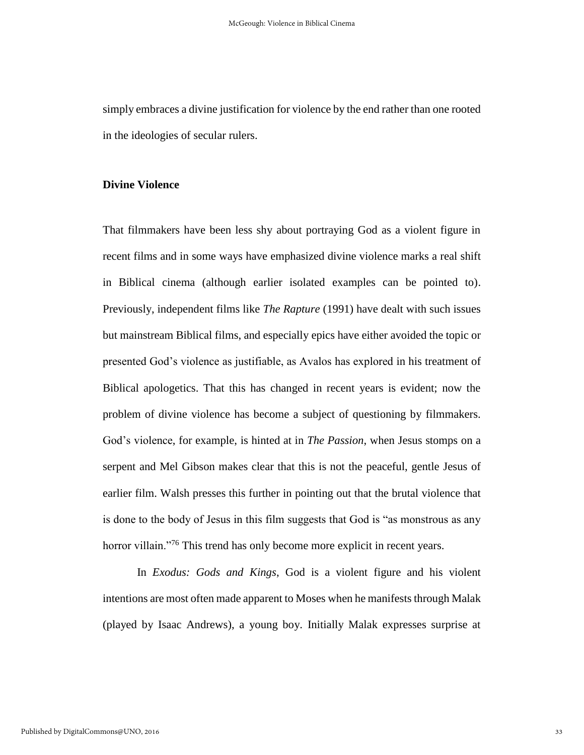simply embraces a divine justification for violence by the end rather than one rooted in the ideologies of secular rulers.

#### **Divine Violence**

That filmmakers have been less shy about portraying God as a violent figure in recent films and in some ways have emphasized divine violence marks a real shift in Biblical cinema (although earlier isolated examples can be pointed to). Previously, independent films like *The Rapture* (1991) have dealt with such issues but mainstream Biblical films, and especially epics have either avoided the topic or presented God's violence as justifiable, as Avalos has explored in his treatment of Biblical apologetics. That this has changed in recent years is evident; now the problem of divine violence has become a subject of questioning by filmmakers. God's violence, for example, is hinted at in *The Passion*, when Jesus stomps on a serpent and Mel Gibson makes clear that this is not the peaceful, gentle Jesus of earlier film. Walsh presses this further in pointing out that the brutal violence that is done to the body of Jesus in this film suggests that God is "as monstrous as any horror villain."<sup>76</sup> This trend has only become more explicit in recent years.

In *Exodus: Gods and Kings*, God is a violent figure and his violent intentions are most often made apparent to Moses when he manifests through Malak (played by Isaac Andrews), a young boy. Initially Malak expresses surprise at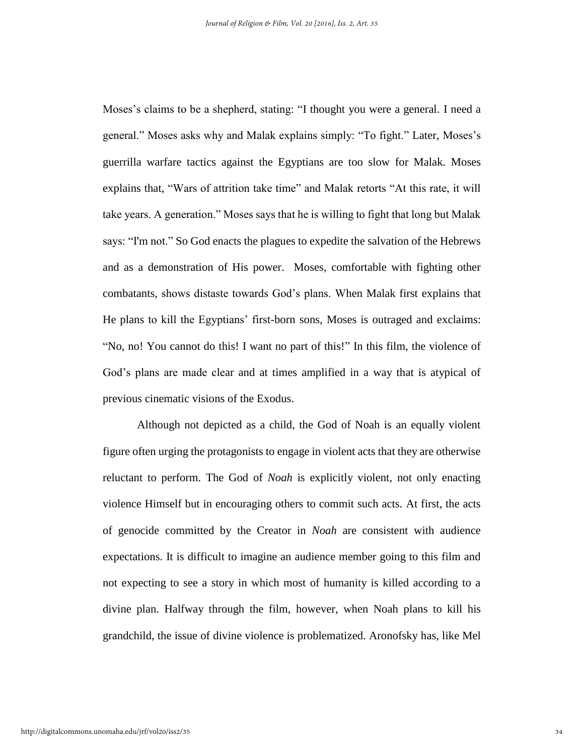Moses's claims to be a shepherd, stating: "I thought you were a general. I need a general." Moses asks why and Malak explains simply: "To fight." Later, Moses's guerrilla warfare tactics against the Egyptians are too slow for Malak. Moses explains that, "Wars of attrition take time" and Malak retorts "At this rate, it will take years. A generation." Moses says that he is willing to fight that long but Malak says: "I'm not." So God enacts the plagues to expedite the salvation of the Hebrews and as a demonstration of His power. Moses, comfortable with fighting other combatants, shows distaste towards God's plans. When Malak first explains that He plans to kill the Egyptians' first-born sons, Moses is outraged and exclaims: "No, no! You cannot do this! I want no part of this!" In this film, the violence of God's plans are made clear and at times amplified in a way that is atypical of previous cinematic visions of the Exodus.

Although not depicted as a child, the God of Noah is an equally violent figure often urging the protagonists to engage in violent acts that they are otherwise reluctant to perform. The God of *Noah* is explicitly violent, not only enacting violence Himself but in encouraging others to commit such acts. At first, the acts of genocide committed by the Creator in *Noah* are consistent with audience expectations. It is difficult to imagine an audience member going to this film and not expecting to see a story in which most of humanity is killed according to a divine plan. Halfway through the film, however, when Noah plans to kill his grandchild, the issue of divine violence is problematized. Aronofsky has, like Mel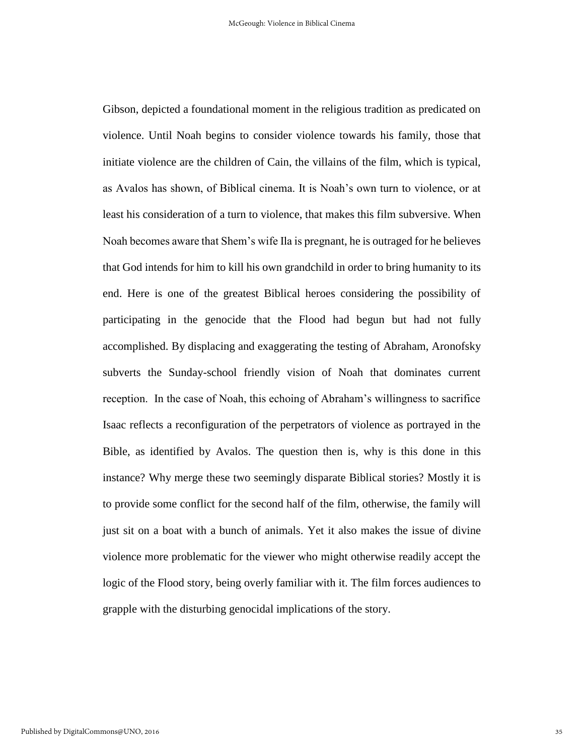Gibson, depicted a foundational moment in the religious tradition as predicated on violence. Until Noah begins to consider violence towards his family, those that initiate violence are the children of Cain, the villains of the film, which is typical, as Avalos has shown, of Biblical cinema. It is Noah's own turn to violence, or at least his consideration of a turn to violence, that makes this film subversive. When Noah becomes aware that Shem's wife Ila is pregnant, he is outraged for he believes that God intends for him to kill his own grandchild in order to bring humanity to its end. Here is one of the greatest Biblical heroes considering the possibility of participating in the genocide that the Flood had begun but had not fully accomplished. By displacing and exaggerating the testing of Abraham, Aronofsky subverts the Sunday-school friendly vision of Noah that dominates current reception. In the case of Noah, this echoing of Abraham's willingness to sacrifice Isaac reflects a reconfiguration of the perpetrators of violence as portrayed in the Bible, as identified by Avalos. The question then is, why is this done in this instance? Why merge these two seemingly disparate Biblical stories? Mostly it is to provide some conflict for the second half of the film, otherwise, the family will just sit on a boat with a bunch of animals. Yet it also makes the issue of divine violence more problematic for the viewer who might otherwise readily accept the logic of the Flood story, being overly familiar with it. The film forces audiences to grapple with the disturbing genocidal implications of the story.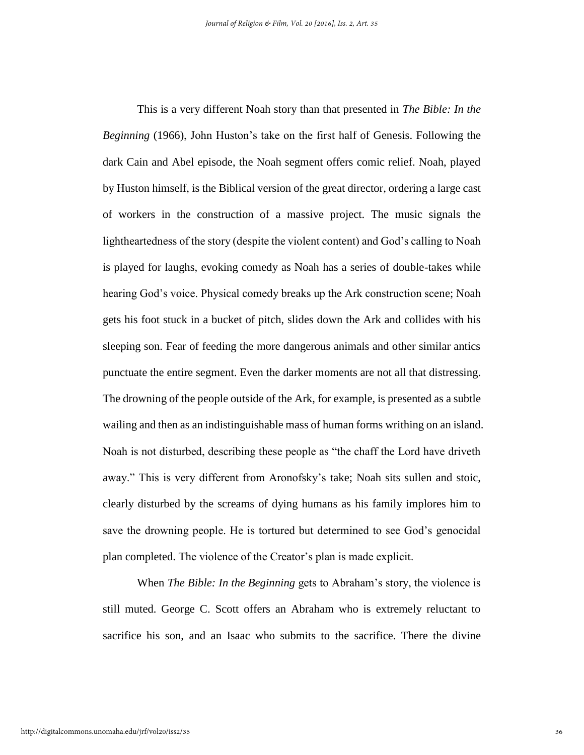This is a very different Noah story than that presented in *The Bible: In the Beginning* (1966), John Huston's take on the first half of Genesis. Following the dark Cain and Abel episode, the Noah segment offers comic relief. Noah, played by Huston himself, is the Biblical version of the great director, ordering a large cast of workers in the construction of a massive project. The music signals the lightheartedness of the story (despite the violent content) and God's calling to Noah is played for laughs, evoking comedy as Noah has a series of double-takes while hearing God's voice. Physical comedy breaks up the Ark construction scene; Noah gets his foot stuck in a bucket of pitch, slides down the Ark and collides with his sleeping son. Fear of feeding the more dangerous animals and other similar antics punctuate the entire segment. Even the darker moments are not all that distressing. The drowning of the people outside of the Ark, for example, is presented as a subtle wailing and then as an indistinguishable mass of human forms writhing on an island. Noah is not disturbed, describing these people as "the chaff the Lord have driveth away." This is very different from Aronofsky's take; Noah sits sullen and stoic, clearly disturbed by the screams of dying humans as his family implores him to save the drowning people. He is tortured but determined to see God's genocidal plan completed. The violence of the Creator's plan is made explicit.

When *The Bible: In the Beginning* gets to Abraham's story, the violence is still muted. George C. Scott offers an Abraham who is extremely reluctant to sacrifice his son, and an Isaac who submits to the sacrifice. There the divine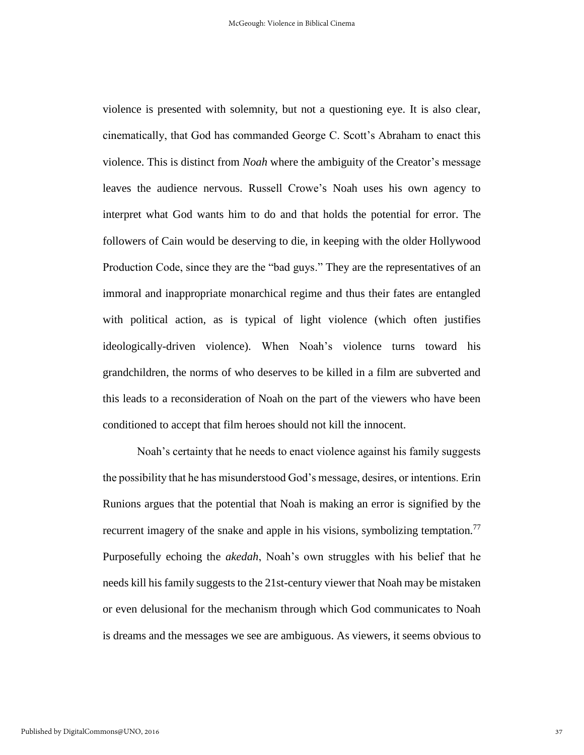violence is presented with solemnity, but not a questioning eye. It is also clear, cinematically, that God has commanded George C. Scott's Abraham to enact this violence. This is distinct from *Noah* where the ambiguity of the Creator's message leaves the audience nervous. Russell Crowe's Noah uses his own agency to interpret what God wants him to do and that holds the potential for error. The followers of Cain would be deserving to die, in keeping with the older Hollywood Production Code, since they are the "bad guys." They are the representatives of an immoral and inappropriate monarchical regime and thus their fates are entangled with political action, as is typical of light violence (which often justifies ideologically-driven violence). When Noah's violence turns toward his grandchildren, the norms of who deserves to be killed in a film are subverted and this leads to a reconsideration of Noah on the part of the viewers who have been conditioned to accept that film heroes should not kill the innocent.

Noah's certainty that he needs to enact violence against his family suggests the possibility that he has misunderstood God's message, desires, or intentions. Erin Runions argues that the potential that Noah is making an error is signified by the recurrent imagery of the snake and apple in his visions, symbolizing temptation.<sup>77</sup> Purposefully echoing the *akedah*, Noah's own struggles with his belief that he needs kill his family suggests to the 21st-century viewer that Noah may be mistaken or even delusional for the mechanism through which God communicates to Noah is dreams and the messages we see are ambiguous. As viewers, it seems obvious to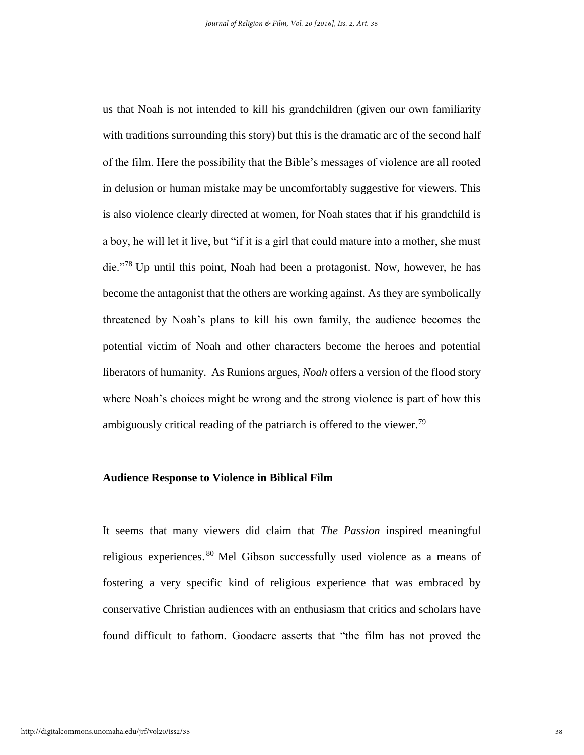us that Noah is not intended to kill his grandchildren (given our own familiarity with traditions surrounding this story) but this is the dramatic arc of the second half of the film. Here the possibility that the Bible's messages of violence are all rooted in delusion or human mistake may be uncomfortably suggestive for viewers. This is also violence clearly directed at women, for Noah states that if his grandchild is a boy, he will let it live, but "if it is a girl that could mature into a mother, she must die."<sup>78</sup> Up until this point, Noah had been a protagonist. Now, however, he has become the antagonist that the others are working against. As they are symbolically threatened by Noah's plans to kill his own family, the audience becomes the potential victim of Noah and other characters become the heroes and potential liberators of humanity. As Runions argues, *Noah* offers a version of the flood story where Noah's choices might be wrong and the strong violence is part of how this ambiguously critical reading of the patriarch is offered to the viewer.<sup>79</sup>

#### **Audience Response to Violence in Biblical Film**

It seems that many viewers did claim that *The Passion* inspired meaningful religious experiences. <sup>80</sup> Mel Gibson successfully used violence as a means of fostering a very specific kind of religious experience that was embraced by conservative Christian audiences with an enthusiasm that critics and scholars have found difficult to fathom. Goodacre asserts that "the film has not proved the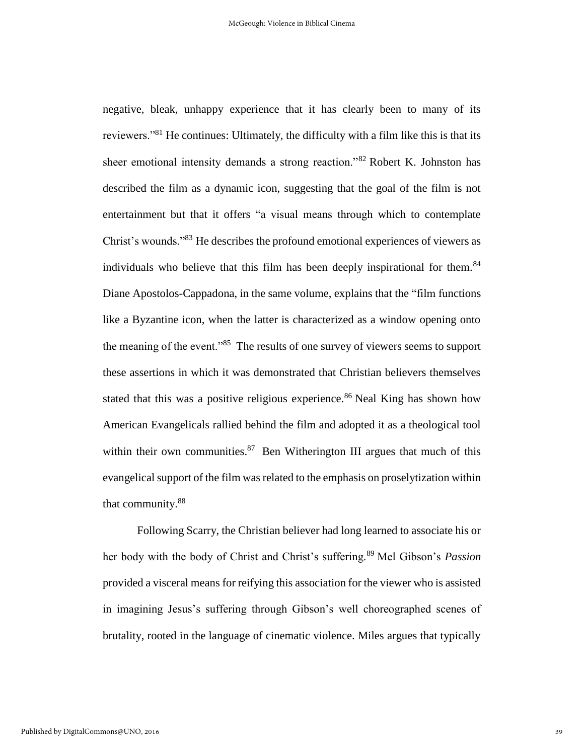negative, bleak, unhappy experience that it has clearly been to many of its reviewers."<sup>81</sup> He continues: Ultimately, the difficulty with a film like this is that its sheer emotional intensity demands a strong reaction."<sup>82</sup> Robert K. Johnston has described the film as a dynamic icon, suggesting that the goal of the film is not entertainment but that it offers "a visual means through which to contemplate Christ's wounds."<sup>83</sup> He describes the profound emotional experiences of viewers as individuals who believe that this film has been deeply inspirational for them.<sup>84</sup> Diane Apostolos-Cappadona, in the same volume, explains that the "film functions like a Byzantine icon, when the latter is characterized as a window opening onto the meaning of the event."<sup>85</sup> The results of one survey of viewers seems to support these assertions in which it was demonstrated that Christian believers themselves stated that this was a positive religious experience.<sup>86</sup> Neal King has shown how American Evangelicals rallied behind the film and adopted it as a theological tool within their own communities.<sup>87</sup> Ben Witherington III argues that much of this evangelical support of the film was related to the emphasis on proselytization within that community.<sup>88</sup>

Following Scarry, the Christian believer had long learned to associate his or her body with the body of Christ and Christ's suffering.<sup>89</sup> Mel Gibson's *Passion* provided a visceral means for reifying this association for the viewer who is assisted in imagining Jesus's suffering through Gibson's well choreographed scenes of brutality, rooted in the language of cinematic violence. Miles argues that typically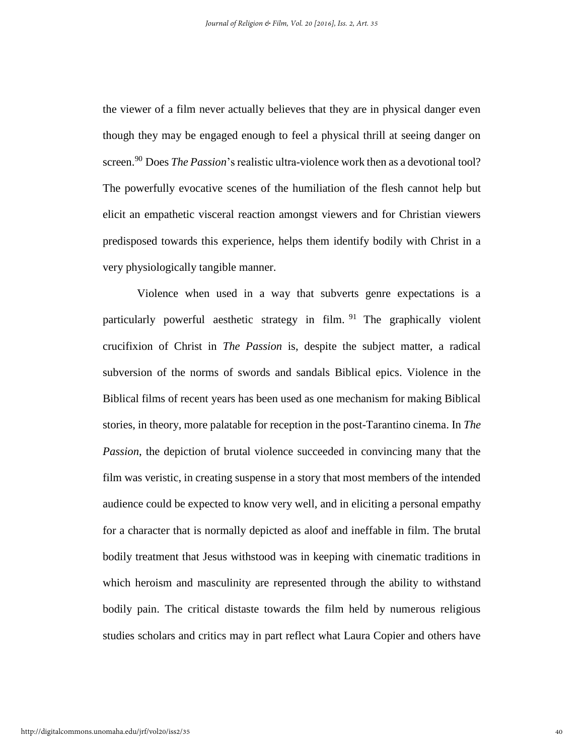the viewer of a film never actually believes that they are in physical danger even though they may be engaged enough to feel a physical thrill at seeing danger on screen.<sup>90</sup> Does *The Passion*'s realistic ultra-violence work then as a devotional tool? The powerfully evocative scenes of the humiliation of the flesh cannot help but elicit an empathetic visceral reaction amongst viewers and for Christian viewers predisposed towards this experience, helps them identify bodily with Christ in a very physiologically tangible manner.

Violence when used in a way that subverts genre expectations is a particularly powerful aesthetic strategy in film.  $91$  The graphically violent crucifixion of Christ in *The Passion* is, despite the subject matter, a radical subversion of the norms of swords and sandals Biblical epics. Violence in the Biblical films of recent years has been used as one mechanism for making Biblical stories, in theory, more palatable for reception in the post-Tarantino cinema. In *The Passion*, the depiction of brutal violence succeeded in convincing many that the film was veristic, in creating suspense in a story that most members of the intended audience could be expected to know very well, and in eliciting a personal empathy for a character that is normally depicted as aloof and ineffable in film. The brutal bodily treatment that Jesus withstood was in keeping with cinematic traditions in which heroism and masculinity are represented through the ability to withstand bodily pain. The critical distaste towards the film held by numerous religious studies scholars and critics may in part reflect what Laura Copier and others have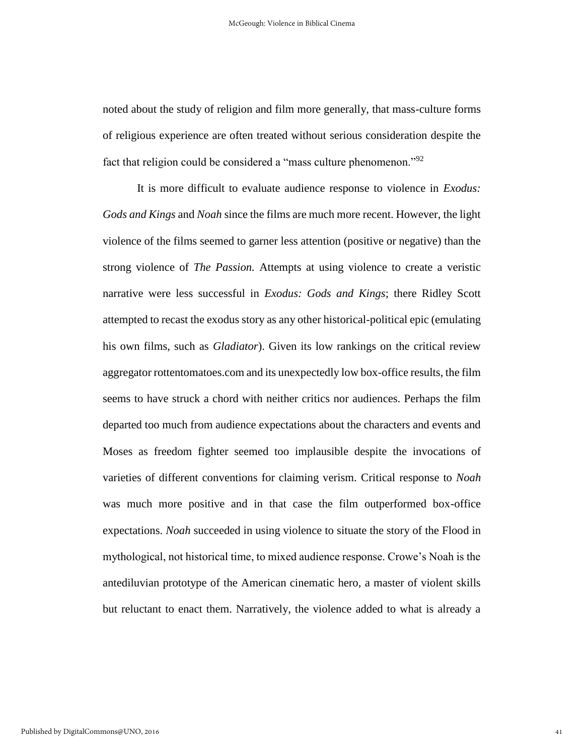noted about the study of religion and film more generally, that mass-culture forms of religious experience are often treated without serious consideration despite the fact that religion could be considered a "mass culture phenomenon."<sup>92</sup>

It is more difficult to evaluate audience response to violence in *Exodus: Gods and Kings* and *Noah* since the films are much more recent. However, the light violence of the films seemed to garner less attention (positive or negative) than the strong violence of *The Passion.* Attempts at using violence to create a veristic narrative were less successful in *Exodus: Gods and Kings*; there Ridley Scott attempted to recast the exodus story as any other historical-political epic (emulating his own films, such as *Gladiator*). Given its low rankings on the critical review aggregator rottentomatoes.com and its unexpectedly low box-office results, the film seems to have struck a chord with neither critics nor audiences. Perhaps the film departed too much from audience expectations about the characters and events and Moses as freedom fighter seemed too implausible despite the invocations of varieties of different conventions for claiming verism. Critical response to *Noah*  was much more positive and in that case the film outperformed box-office expectations. *Noah* succeeded in using violence to situate the story of the Flood in mythological, not historical time, to mixed audience response. Crowe's Noah is the antediluvian prototype of the American cinematic hero, a master of violent skills but reluctant to enact them. Narratively, the violence added to what is already a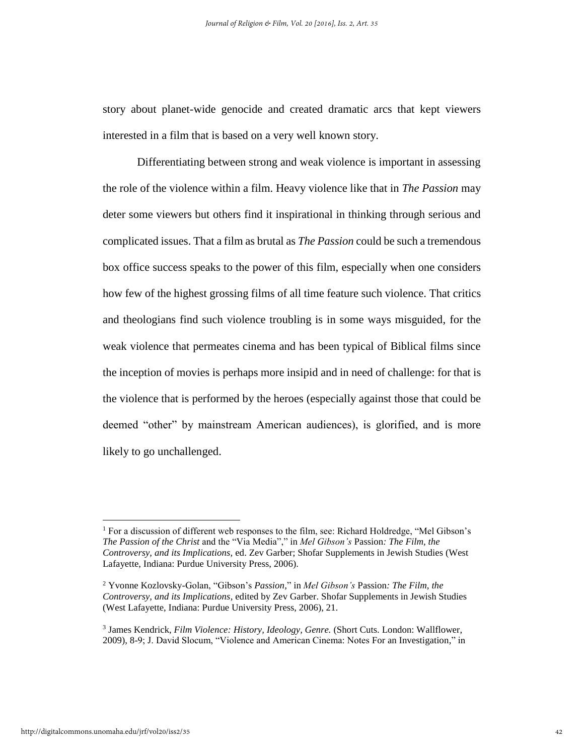story about planet-wide genocide and created dramatic arcs that kept viewers interested in a film that is based on a very well known story.

Differentiating between strong and weak violence is important in assessing the role of the violence within a film. Heavy violence like that in *The Passion* may deter some viewers but others find it inspirational in thinking through serious and complicated issues. That a film as brutal as *The Passion* could be such a tremendous box office success speaks to the power of this film, especially when one considers how few of the highest grossing films of all time feature such violence. That critics and theologians find such violence troubling is in some ways misguided, for the weak violence that permeates cinema and has been typical of Biblical films since the inception of movies is perhaps more insipid and in need of challenge: for that is the violence that is performed by the heroes (especially against those that could be deemed "other" by mainstream American audiences), is glorified, and is more likely to go unchallenged.

<sup>&</sup>lt;sup>1</sup> For a discussion of different web responses to the film, see: Richard Holdredge, "Mel Gibson's *The Passion of the Christ* and the "Via Media"," in *Mel Gibson's* Passion*: The Film, the Controversy, and its Implications,* ed. Zev Garber; Shofar Supplements in Jewish Studies (West Lafayette, Indiana: Purdue University Press, 2006).

<sup>2</sup> Yvonne Kozlovsky-Golan, "Gibson's *Passion,*" in *Mel Gibson's* Passion*: The Film, the Controversy, and its Implications*, edited by Zev Garber. Shofar Supplements in Jewish Studies (West Lafayette, Indiana: Purdue University Press, 2006), 21.

<sup>3</sup> James Kendrick, *Film Violence: History, Ideology, Genre.* (Short Cuts. London: Wallflower, 2009), 8-9; J. David Slocum, "Violence and American Cinema: Notes For an Investigation," in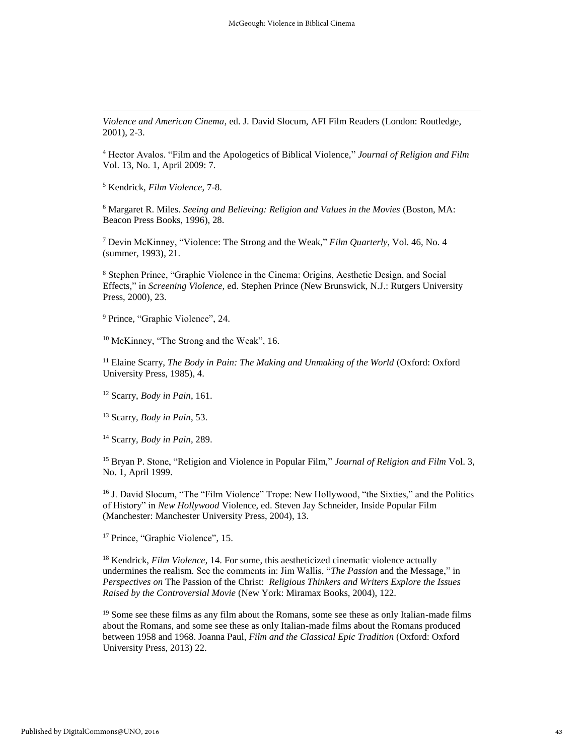*Violence and American Cinema*, ed. J. David Slocum, AFI Film Readers (London: Routledge, 2001), 2-3.

<sup>4</sup> Hector Avalos. "Film and the Apologetics of Biblical Violence," *Journal of Religion and Film* Vol. 13, No. 1, April 2009: 7.

<sup>5</sup> Kendrick, *Film Violence*, 7-8.

l

<sup>6</sup> Margaret R. Miles. *Seeing and Believing: Religion and Values in the Movies* (Boston, MA: Beacon Press Books, 1996), 28.

<sup>7</sup> Devin McKinney, "Violence: The Strong and the Weak," *Film Quarterly*, Vol. 46, No. 4 (summer, 1993), 21.

<sup>8</sup> Stephen Prince, "Graphic Violence in the Cinema: Origins, Aesthetic Design, and Social Effects," in *Screening Violence,* ed. Stephen Prince (New Brunswick, N.J.: Rutgers University Press, 2000), 23.

<sup>9</sup> Prince, "Graphic Violence", 24.

<sup>10</sup> McKinney, "The Strong and the Weak", 16.

<sup>11</sup> Elaine Scarry, *The Body in Pain: The Making and Unmaking of the World* (Oxford: Oxford University Press, 1985), 4.

<sup>12</sup> Scarry, *Body in Pain*, 161.

<sup>13</sup> Scarry, *Body in Pain*, 53.

<sup>14</sup> Scarry, *Body in Pain*, 289.

<sup>15</sup> Bryan P. Stone, "Religion and Violence in Popular Film," *Journal of Religion and Film* Vol. 3, No. 1, April 1999.

<sup>16</sup> J. David Slocum, "The "Film Violence" Trope: New Hollywood, "the Sixties," and the Politics of History" in *New Hollywood* Violence, ed. Steven Jay Schneider, Inside Popular Film (Manchester: Manchester University Press, 2004), 13.

<sup>17</sup> Prince, "Graphic Violence", 15.

<sup>18</sup> Kendrick, *Film Violence*, 14. For some, this aestheticized cinematic violence actually undermines the realism. See the comments in: Jim Wallis, "*The Passion* and the Message," in *Perspectives on* The Passion of the Christ: *Religious Thinkers and Writers Explore the Issues Raised by the Controversial Movie* (New York: Miramax Books, 2004), 122.

 $19$  Some see these films as any film about the Romans, some see these as only Italian-made films about the Romans, and some see these as only Italian-made films about the Romans produced between 1958 and 1968. Joanna Paul, *Film and the Classical Epic Tradition* (Oxford: Oxford University Press, 2013) 22.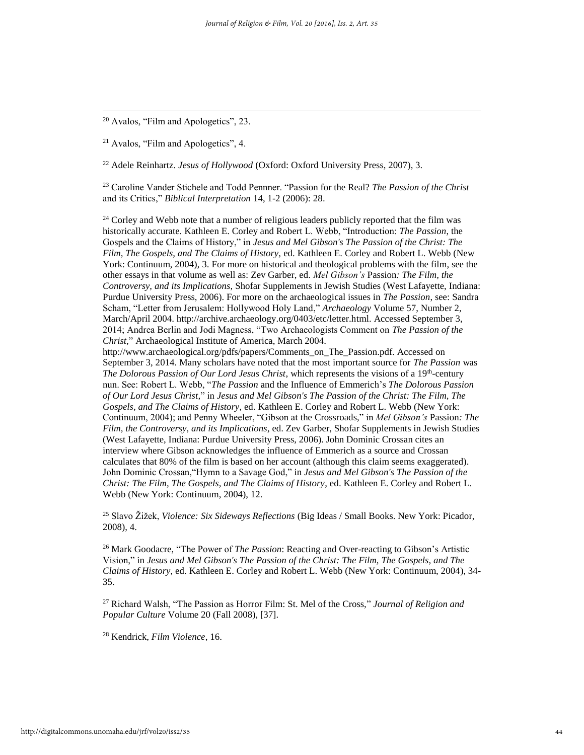<sup>20</sup> Avalos, "Film and Apologetics", 23.

l

<sup>21</sup> Avalos, "Film and Apologetics", 4.

<sup>22</sup> Adele Reinhartz. *Jesus of Hollywood* (Oxford: Oxford University Press, 2007), 3.

<sup>23</sup> Caroline Vander Stichele and Todd Pennner. "Passion for the Real? *The Passion of the Christ*  and its Critics," *Biblical Interpretation* 14, 1-2 (2006): 28.

<sup>24</sup> Corley and Webb note that a number of religious leaders publicly reported that the film was historically accurate. Kathleen E. Corley and Robert L. Webb, "Introduction: *The Passion*, the Gospels and the Claims of History," in *Jesus and Mel Gibson's The Passion of the Christ: The Film, The Gospels, and The Claims of History,* ed. Kathleen E. Corley and Robert L. Webb (New York: Continuum, 2004), 3. For more on historical and theological problems with the film, see the other essays in that volume as well as: Zev Garber, ed. *Mel Gibson's* Passion*: The Film, the Controversy, and its Implications,* Shofar Supplements in Jewish Studies (West Lafayette, Indiana: Purdue University Press, 2006). For more on the archaeological issues in *The Passion*, see: Sandra Scham, "Letter from Jerusalem: Hollywood Holy Land," *Archaeology* Volume 57, Number 2, March/April 2004. http://archive.archaeology.org/0403/etc/letter.html. Accessed September 3, 2014; Andrea Berlin and Jodi Magness, "Two Archaeologists Comment on *The Passion of the Christ,*" Archaeological Institute of America, March 2004.

http://www.archaeological.org/pdfs/papers/Comments\_on\_The\_Passion.pdf. Accessed on September 3, 2014. Many scholars have noted that the most important source for *The Passion* was The Dolorous Passion of Our Lord Jesus Christ, which represents the visions of a 19<sup>th</sup>-century nun. See: Robert L. Webb, "*The Passion* and the Influence of Emmerich's *The Dolorous Passion of Our Lord Jesus Christ,*" in *Jesus and Mel Gibson's The Passion of the Christ: The Film, The Gospels, and The Claims of History*, ed. Kathleen E. Corley and Robert L. Webb (New York: Continuum, 2004); and Penny Wheeler, "Gibson at the Crossroads," in *Mel Gibson's* Passion*: The Film, the Controversy, and its Implications*, ed. Zev Garber, Shofar Supplements in Jewish Studies (West Lafayette, Indiana: Purdue University Press, 2006). John Dominic Crossan cites an interview where Gibson acknowledges the influence of Emmerich as a source and Crossan calculates that 80% of the film is based on her account (although this claim seems exaggerated). John Dominic Crossan,"Hymn to a Savage God," in *Jesus and Mel Gibson's The Passion of the Christ: The Film, The Gospels, and The Claims of History*, ed. Kathleen E. Corley and Robert L. Webb (New York: Continuum, 2004), 12.

<sup>25</sup> Slavo Žižek, *Violence: Six Sideways Reflections* (Big Ideas / Small Books. New York: Picador, 2008), 4.

<sup>26</sup> Mark Goodacre, "The Power of *The Passion*: Reacting and Over-reacting to Gibson's Artistic Vision," in *Jesus and Mel Gibson's The Passion of the Christ: The Film, The Gospels, and The Claims of History*, ed. Kathleen E. Corley and Robert L. Webb (New York: Continuum, 2004), 34- 35.

<sup>27</sup> Richard Walsh, "The Passion as Horror Film: St. Mel of the Cross," *Journal of Religion and Popular Culture* Volume 20 (Fall 2008), [37].

<sup>28</sup> Kendrick, *Film Violence*, 16.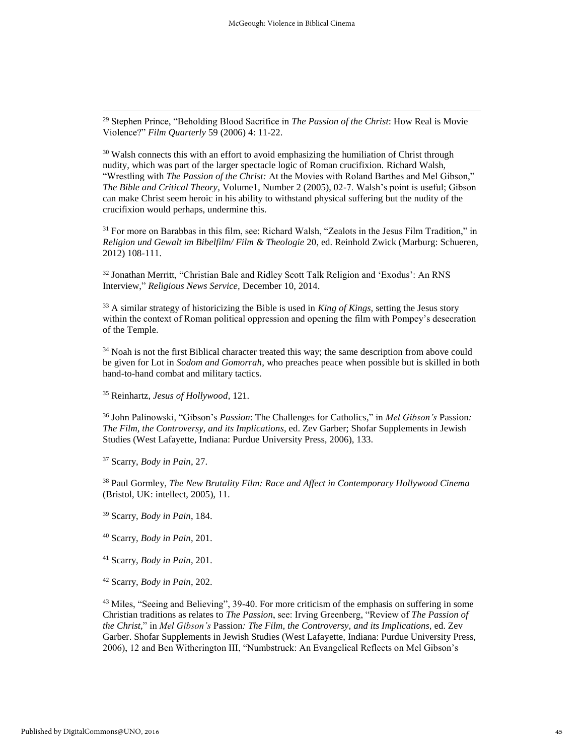<sup>29</sup> Stephen Prince, "Beholding Blood Sacrifice in *The Passion of the Christ*: How Real is Movie Violence?" *Film Quarterly* 59 (2006) 4: 11-22.

 $30$  Walsh connects this with an effort to avoid emphasizing the humiliation of Christ through nudity, which was part of the larger spectacle logic of Roman crucifixion. Richard Walsh, "Wrestling with *The Passion of the Christ:* At the Movies with Roland Barthes and Mel Gibson," *The Bible and Critical Theory,* Volume1, Number 2 (2005), 02-7. Walsh's point is useful; Gibson can make Christ seem heroic in his ability to withstand physical suffering but the nudity of the crucifixion would perhaps, undermine this.

<sup>31</sup> For more on Barabbas in this film, see: Richard Walsh, "Zealots in the Jesus Film Tradition," in *Religion und Gewalt im Bibelfilm/ Film & Theologie* 20, ed. Reinhold Zwick (Marburg: Schueren, 2012) 108-111.

<sup>32</sup> Jonathan Merritt, "Christian Bale and Ridley Scott Talk Religion and 'Exodus': An RNS Interview," *Religious News Service,* December 10, 2014.

<sup>33</sup> A similar strategy of historicizing the Bible is used in *King of Kings,* setting the Jesus story within the context of Roman political oppression and opening the film with Pompey's desecration of the Temple.

<sup>34</sup> Noah is not the first Biblical character treated this way; the same description from above could be given for Lot in *Sodom and Gomorrah*, who preaches peace when possible but is skilled in both hand-to-hand combat and military tactics.

<sup>35</sup> Reinhartz, *Jesus of Hollywood*, 121.

<sup>36</sup> John Palinowski, "Gibson's *Passion*: The Challenges for Catholics," in *Mel Gibson's* Passion*: The Film, the Controversy, and its Implications*, ed. Zev Garber; Shofar Supplements in Jewish Studies (West Lafayette, Indiana: Purdue University Press, 2006), 133.

<sup>37</sup> Scarry, *Body in Pain*, 27.

l

<sup>38</sup> Paul Gormley, *The New Brutality Film: Race and Affect in Contemporary Hollywood Cinema* (Bristol, UK: intellect, 2005), 11.

<sup>39</sup> Scarry, *Body in Pain*, 184.

<sup>40</sup> Scarry, *Body in Pain*, 201.

<sup>41</sup> Scarry, *Body in Pain*, 201.

<sup>42</sup> Scarry, *Body in Pain*, 202.

<sup>43</sup> Miles, "Seeing and Believing", 39-40. For more criticism of the emphasis on suffering in some Christian traditions as relates to *The Passion*, see: Irving Greenberg, "Review of *The Passion of the Christ,*" in *Mel Gibson's* Passion*: The Film, the Controversy, and its Implications,* ed. Zev Garber. Shofar Supplements in Jewish Studies (West Lafayette, Indiana: Purdue University Press, 2006), 12 and Ben Witherington III, "Numbstruck: An Evangelical Reflects on Mel Gibson's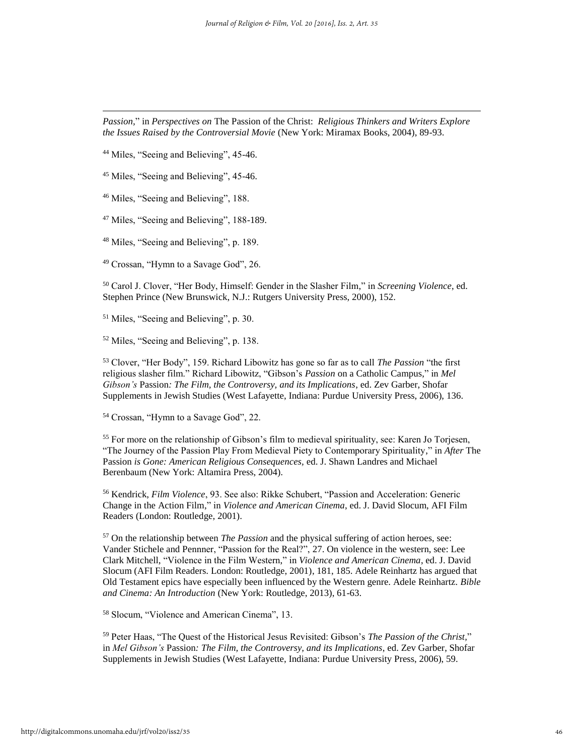*Passion,*" in *Perspectives on* The Passion of the Christ: *Religious Thinkers and Writers Explore the Issues Raised by the Controversial Movie* (New York: Miramax Books, 2004), 89-93.

<sup>44</sup> Miles, "Seeing and Believing", 45-46.

l

<sup>45</sup> Miles, "Seeing and Believing", 45-46.

<sup>46</sup> Miles, "Seeing and Believing", 188.

<sup>47</sup> Miles, "Seeing and Believing", 188-189.

<sup>48</sup> Miles, "Seeing and Believing", p. 189.

<sup>49</sup> Crossan, "Hymn to a Savage God", 26.

<sup>50</sup> Carol J. Clover, "Her Body, Himself: Gender in the Slasher Film," in *Screening Violence*, ed. Stephen Prince (New Brunswick, N.J.: Rutgers University Press, 2000), 152.

<sup>51</sup> Miles, "Seeing and Believing", p. 30.

<sup>52</sup> Miles, "Seeing and Believing", p. 138.

<sup>53</sup> Clover, "Her Body", 159. Richard Libowitz has gone so far as to call *The Passion* "the first religious slasher film." Richard Libowitz, "Gibson's *Passion* on a Catholic Campus," in *Mel Gibson's* Passion*: The Film, the Controversy, and its Implications*, ed. Zev Garber, Shofar Supplements in Jewish Studies (West Lafayette, Indiana: Purdue University Press, 2006), 136.

<sup>54</sup> Crossan, "Hymn to a Savage God", 22.

<sup>55</sup> For more on the relationship of Gibson's film to medieval spirituality, see: Karen Jo Torjesen, "The Journey of the Passion Play From Medieval Piety to Contemporary Spirituality," in *After* The Passion *is Gone: American Religious Consequences,* ed. J. Shawn Landres and Michael Berenbaum (New York: Altamira Press, 2004).

<sup>56</sup> Kendrick, *Film Violence*, 93. See also: Rikke Schubert, "Passion and Acceleration: Generic Change in the Action Film," in *Violence and American Cinema*, ed. J. David Slocum, AFI Film Readers (London: Routledge, 2001).

<sup>57</sup> On the relationship between *The Passion* and the physical suffering of action heroes, see: Vander Stichele and Pennner, "Passion for the Real?", 27. On violence in the western, see: Lee Clark Mitchell, "Violence in the Film Western," in *Violence and American Cinema*, ed. J. David Slocum (AFI Film Readers. London: Routledge, 2001), 181, 185. Adele Reinhartz has argued that Old Testament epics have especially been influenced by the Western genre. Adele Reinhartz. *Bible and Cinema: An Introduction* (New York: Routledge, 2013), 61-63.

<sup>58</sup> Slocum, "Violence and American Cinema", 13.

<sup>59</sup> Peter Haas, "The Quest of the Historical Jesus Revisited: Gibson's *The Passion of the Christ,*" in *Mel Gibson's* Passion*: The Film, the Controversy, and its Implications*, ed. Zev Garber, Shofar Supplements in Jewish Studies (West Lafayette, Indiana: Purdue University Press, 2006), 59.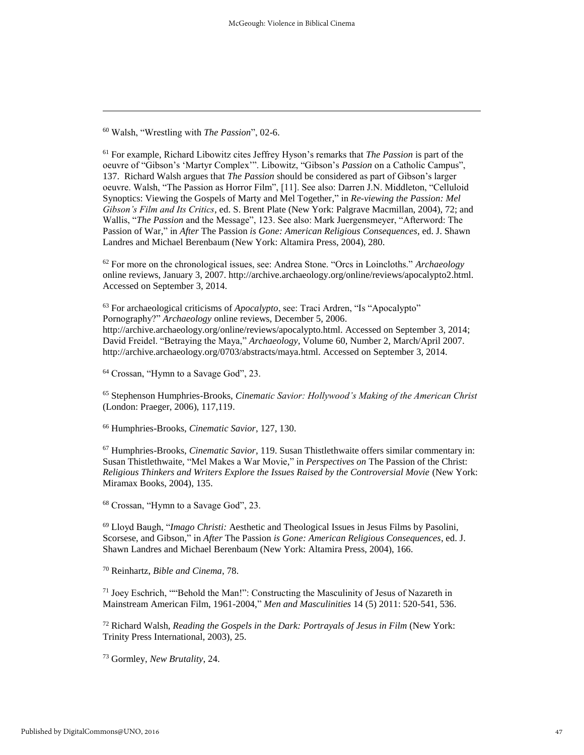<sup>60</sup> Walsh, "Wrestling with *The Passion*", 02-6.

l

<sup>61</sup> For example, Richard Libowitz cites Jeffrey Hyson's remarks that *The Passion* is part of the oeuvre of "Gibson's 'Martyr Complex'". Libowitz, "Gibson's *Passion* on a Catholic Campus", 137. Richard Walsh argues that *The Passion* should be considered as part of Gibson's larger oeuvre. Walsh, "The Passion as Horror Film", [11]. See also: Darren J.N. Middleton, "Celluloid Synoptics: Viewing the Gospels of Marty and Mel Together," in *Re-viewing the Passion: Mel Gibson's Film and Its Critics*, ed. S. Brent Plate (New York: Palgrave Macmillan, 2004), 72; and Wallis, "*The Passion* and the Message", 123. See also: Mark Juergensmeyer, "Afterword: The Passion of War," in *After* The Passion *is Gone: American Religious Consequences*, ed. J. Shawn Landres and Michael Berenbaum (New York: Altamira Press, 2004), 280.

<sup>62</sup> For more on the chronological issues, see: Andrea Stone. "Orcs in Loincloths." *Archaeology* online reviews, January 3, 2007. http://archive.archaeology.org/online/reviews/apocalypto2.html. Accessed on September 3, 2014.

<sup>63</sup> For archaeological criticisms of *Apocalypto*, see: Traci Ardren, "Is "Apocalypto" Pornography?" *Archaeology* online reviews, December 5, 2006. http://archive.archaeology.org/online/reviews/apocalypto.html. Accessed on September 3, 2014; David Freidel. "Betraying the Maya," *Archaeology,* Volume 60, Number 2, March/April 2007. http://archive.archaeology.org/0703/abstracts/maya.html. Accessed on September 3, 2014.

<sup>64</sup> Crossan, "Hymn to a Savage God", 23.

<sup>65</sup> Stephenson Humphries-Brooks, *Cinematic Savior: Hollywood's Making of the American Christ* (London: Praeger, 2006), 117,119.

<sup>66</sup> Humphries-Brooks, *Cinematic Savior*, 127, 130.

<sup>67</sup> Humphries-Brooks, *Cinematic Savior*, 119. Susan Thistlethwaite offers similar commentary in: Susan Thistlethwaite, "Mel Makes a War Movie," in *Perspectives on* The Passion of the Christ: *Religious Thinkers and Writers Explore the Issues Raised by the Controversial Movie* (New York: Miramax Books, 2004), 135.

<sup>68</sup> Crossan, "Hymn to a Savage God", 23.

<sup>69</sup> Lloyd Baugh, "*Imago Christi:* Aesthetic and Theological Issues in Jesus Films by Pasolini, Scorsese, and Gibson," in *After* The Passion *is Gone: American Religious Consequences*, ed. J. Shawn Landres and Michael Berenbaum (New York: Altamira Press, 2004), 166.

<sup>70</sup> Reinhartz, *Bible and Cinema*, 78.

<sup>71</sup> Joey Eschrich, ""Behold the Man!": Constructing the Masculinity of Jesus of Nazareth in Mainstream American Film, 1961-2004," *Men and Masculinities* 14 (5) 2011: 520-541, 536.

<sup>72</sup> Richard Walsh, *Reading the Gospels in the Dark: Portrayals of Jesus in Film* (New York: Trinity Press International, 2003), 25.

<sup>73</sup> Gormley, *New Brutality*, 24.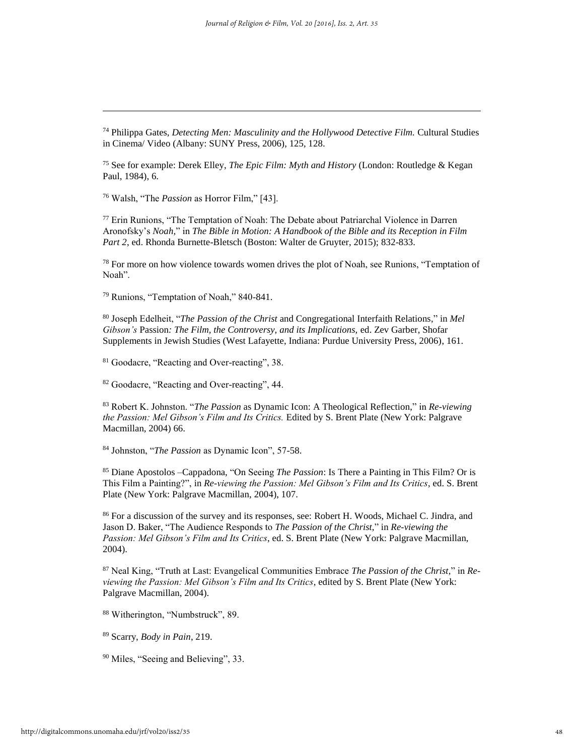<sup>74</sup> Philippa Gates, *Detecting Men: Masculinity and the Hollywood Detective Film.* Cultural Studies in Cinema/ Video (Albany: SUNY Press, 2006), 125, 128.

<sup>75</sup> See for example: Derek Elley, *The Epic Film: Myth and History* (London: Routledge & Kegan Paul, 1984), 6.

<sup>76</sup> Walsh, "The *Passion* as Horror Film," [43].

l

<sup>77</sup> Erin Runions, "The Temptation of Noah: The Debate about Patriarchal Violence in Darren Aronofsky's *Noah,*" in *The Bible in Motion: A Handbook of the Bible and its Reception in Film Part 2*, ed. Rhonda Burnette-Bletsch (Boston: Walter de Gruyter, 2015); 832-833.

 $78$  For more on how violence towards women drives the plot of Noah, see Runions, "Temptation of Noah".

<sup>79</sup> Runions, "Temptation of Noah," 840-841.

<sup>80</sup> Joseph Edelheit, "*The Passion of the Christ* and Congregational Interfaith Relations," in *Mel Gibson's* Passion*: The Film, the Controversy, and its Implications,* ed. Zev Garber, Shofar Supplements in Jewish Studies (West Lafayette, Indiana: Purdue University Press, 2006), 161.

<sup>81</sup> Goodacre, "Reacting and Over-reacting", 38.

<sup>82</sup> Goodacre, "Reacting and Over-reacting", 44.

<sup>83</sup> Robert K. Johnston. "*The Passion* as Dynamic Icon: A Theological Reflection," in *Re-viewing the Passion: Mel Gibson's Film and Its Critics.* Edited by S. Brent Plate (New York: Palgrave Macmillan, 2004) 66.

<sup>84</sup> Johnston, "*The Passion* as Dynamic Icon", 57-58.

<sup>85</sup> Diane Apostolos –Cappadona, "On Seeing *The Passion*: Is There a Painting in This Film? Or is This Film a Painting?", in *Re-viewing the Passion: Mel Gibson's Film and Its Critics*, ed. S. Brent Plate (New York: Palgrave Macmillan, 2004), 107.

<sup>86</sup> For a discussion of the survey and its responses, see: Robert H. Woods, Michael C. Jindra, and Jason D. Baker, "The Audience Responds to *The Passion of the Christ,*" in *Re-viewing the Passion: Mel Gibson's Film and Its Critics*, ed. S. Brent Plate (New York: Palgrave Macmillan, 2004).

<sup>87</sup> Neal King, "Truth at Last: Evangelical Communities Embrace *The Passion of the Christ,*" in *Reviewing the Passion: Mel Gibson's Film and Its Critics*, edited by S. Brent Plate (New York: Palgrave Macmillan, 2004).

<sup>88</sup> Witherington, "Numbstruck", 89.

<sup>89</sup> Scarry, *Body in Pain*, 219.

<sup>90</sup> Miles, "Seeing and Believing", 33.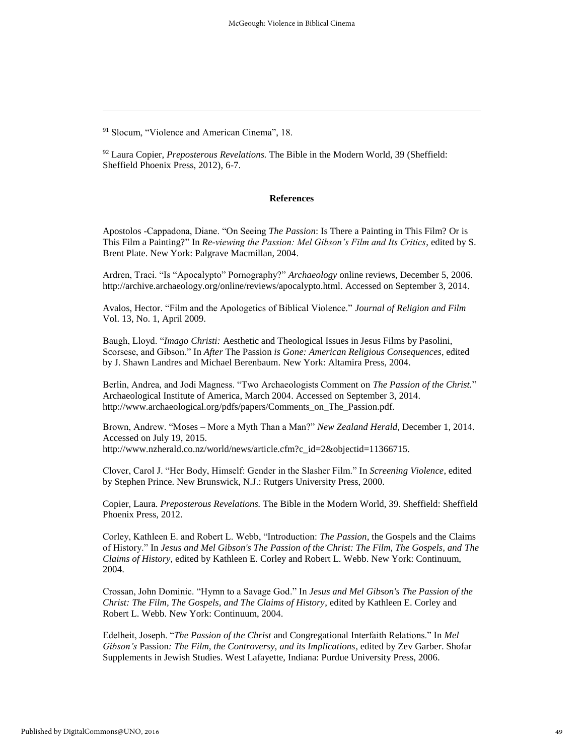l

#### **References**

Apostolos -Cappadona, Diane. "On Seeing *The Passion*: Is There a Painting in This Film? Or is This Film a Painting?" In *Re-viewing the Passion: Mel Gibson's Film and Its Critics*, edited by S. Brent Plate. New York: Palgrave Macmillan, 2004.

Ardren, Traci. "Is "Apocalypto" Pornography?" *Archaeology* online reviews, December 5, 2006. http://archive.archaeology.org/online/reviews/apocalypto.html. Accessed on September 3, 2014.

Avalos, Hector. "Film and the Apologetics of Biblical Violence." *Journal of Religion and Film* Vol. 13, No. 1, April 2009.

Baugh, Lloyd. "*Imago Christi:* Aesthetic and Theological Issues in Jesus Films by Pasolini, Scorsese, and Gibson." In *After* The Passion *is Gone: American Religious Consequences*, edited by J. Shawn Landres and Michael Berenbaum. New York: Altamira Press, 2004.

Berlin, Andrea, and Jodi Magness. "Two Archaeologists Comment on *The Passion of the Christ.*" Archaeological Institute of America, March 2004. Accessed on September 3, 2014. http://www.archaeological.org/pdfs/papers/Comments\_on\_The\_Passion.pdf.

Brown, Andrew. "Moses – More a Myth Than a Man?" *New Zealand Herald*, December 1, 2014. Accessed on July 19, 2015. http://www.nzherald.co.nz/world/news/article.cfm?c\_id=2&objectid=11366715.

Clover, Carol J. "Her Body, Himself: Gender in the Slasher Film." In *Screening Violence*, edited by Stephen Prince. New Brunswick, N.J.: Rutgers University Press, 2000.

Copier, Laura. *Preposterous Revelations.* The Bible in the Modern World, 39. Sheffield: Sheffield Phoenix Press, 2012.

Corley, Kathleen E. and Robert L. Webb, "Introduction: *The Passion*, the Gospels and the Claims of History." In *Jesus and Mel Gibson's The Passion of the Christ: The Film, The Gospels, and The Claims of History*, edited by Kathleen E. Corley and Robert L. Webb. New York: Continuum, 2004.

Crossan, John Dominic. "Hymn to a Savage God." In *Jesus and Mel Gibson's The Passion of the Christ: The Film, The Gospels, and The Claims of History*, edited by Kathleen E. Corley and Robert L. Webb. New York: Continuum, 2004.

Edelheit, Joseph. "*The Passion of the Christ* and Congregational Interfaith Relations." In *Mel Gibson's* Passion*: The Film, the Controversy, and its Implications,* edited by Zev Garber. Shofar Supplements in Jewish Studies. West Lafayette, Indiana: Purdue University Press, 2006.

<sup>&</sup>lt;sup>91</sup> Slocum, "Violence and American Cinema", 18.

<sup>92</sup> Laura Copier, *Preposterous Revelations.* The Bible in the Modern World, 39 (Sheffield: Sheffield Phoenix Press, 2012), 6-7.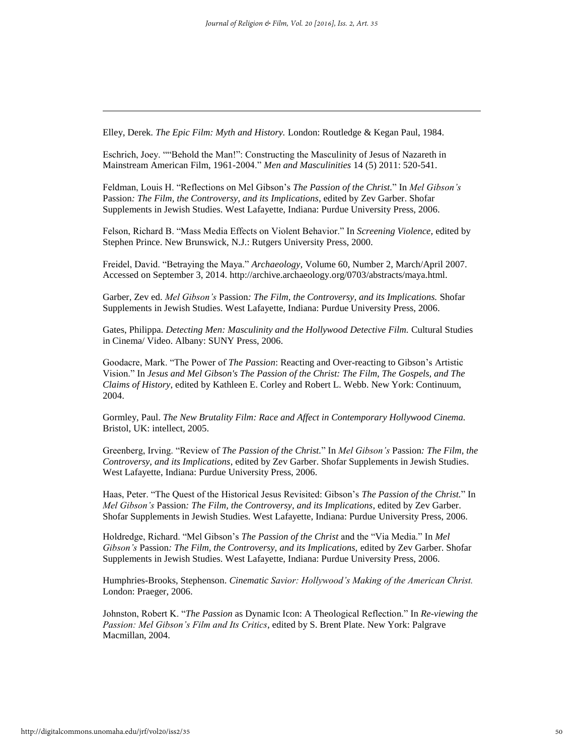Elley, Derek. *The Epic Film: Myth and History.* London: Routledge & Kegan Paul, 1984.

Eschrich, Joey. ""Behold the Man!": Constructing the Masculinity of Jesus of Nazareth in Mainstream American Film, 1961-2004." *Men and Masculinities* 14 (5) 2011: 520-541.

Feldman, Louis H. "Reflections on Mel Gibson's *The Passion of the Christ.*" In *Mel Gibson's*  Passion*: The Film, the Controversy, and its Implications*, edited by Zev Garber. Shofar Supplements in Jewish Studies. West Lafayette, Indiana: Purdue University Press, 2006.

Felson, Richard B. "Mass Media Effects on Violent Behavior." In *Screening Violence,* edited by Stephen Prince. New Brunswick, N.J.: Rutgers University Press, 2000.

Freidel, David. "Betraying the Maya." *Archaeology,* Volume 60, Number 2, March/April 2007. Accessed on September 3, 2014. http://archive.archaeology.org/0703/abstracts/maya.html.

Garber, Zev ed. *Mel Gibson's* Passion*: The Film, the Controversy, and its Implications.* Shofar Supplements in Jewish Studies. West Lafayette, Indiana: Purdue University Press, 2006.

Gates, Philippa. *Detecting Men: Masculinity and the Hollywood Detective Film.* Cultural Studies in Cinema/ Video. Albany: SUNY Press, 2006.

Goodacre, Mark. "The Power of *The Passion*: Reacting and Over-reacting to Gibson's Artistic Vision." In *Jesus and Mel Gibson's The Passion of the Christ: The Film, The Gospels, and The Claims of History*, edited by Kathleen E. Corley and Robert L. Webb. New York: Continuum, 2004.

Gormley, Paul. *The New Brutality Film: Race and Affect in Contemporary Hollywood Cinema.* Bristol, UK: intellect, 2005.

Greenberg, Irving. "Review of *The Passion of the Christ.*" In *Mel Gibson's* Passion*: The Film, the Controversy, and its Implications*, edited by Zev Garber. Shofar Supplements in Jewish Studies. West Lafayette, Indiana: Purdue University Press, 2006.

Haas, Peter. "The Quest of the Historical Jesus Revisited: Gibson's *The Passion of the Christ.*" In *Mel Gibson's* Passion*: The Film, the Controversy, and its Implications*, edited by Zev Garber. Shofar Supplements in Jewish Studies. West Lafayette, Indiana: Purdue University Press, 2006.

Holdredge, Richard. "Mel Gibson's *The Passion of the Christ* and the "Via Media." In *Mel Gibson's* Passion*: The Film, the Controversy, and its Implications,* edited by Zev Garber. Shofar Supplements in Jewish Studies. West Lafayette, Indiana: Purdue University Press, 2006.

Humphries-Brooks, Stephenson. *Cinematic Savior: Hollywood's Making of the American Christ.* London: Praeger, 2006.

Johnston, Robert K. "*The Passion* as Dynamic Icon: A Theological Reflection." In *Re-viewing the Passion: Mel Gibson's Film and Its Critics*, edited by S. Brent Plate. New York: Palgrave Macmillan, 2004.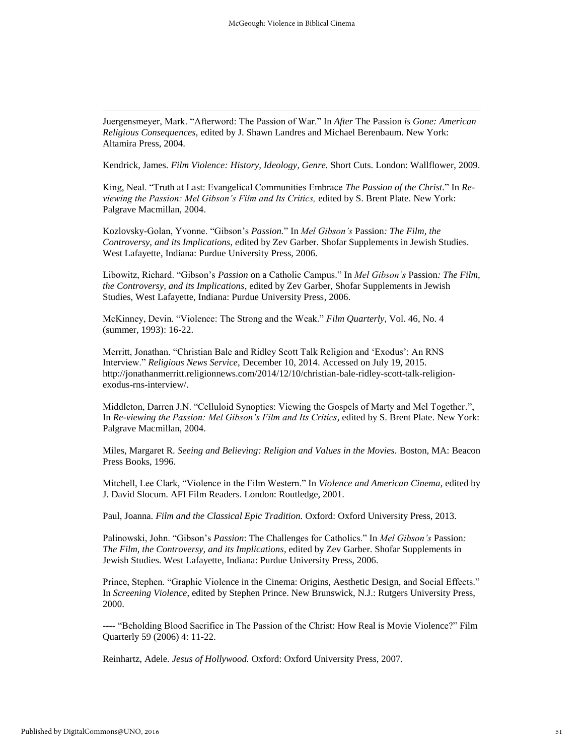Juergensmeyer, Mark. "Afterword: The Passion of War." In *After* The Passion *is Gone: American Religious Consequences,* edited by J. Shawn Landres and Michael Berenbaum. New York: Altamira Press, 2004.

Kendrick, James. *Film Violence: History, Ideology, Genre.* Short Cuts. London: Wallflower, 2009.

King, Neal. "Truth at Last: Evangelical Communities Embrace *The Passion of the Christ.*" In *Reviewing the Passion: Mel Gibson's Film and Its Critics,* edited by S. Brent Plate. New York: Palgrave Macmillan, 2004.

Kozlovsky-Golan, Yvonne. "Gibson's *Passion.*" In *Mel Gibson's* Passion*: The Film, the Controversy, and its Implications, e*dited by Zev Garber. Shofar Supplements in Jewish Studies. West Lafayette, Indiana: Purdue University Press, 2006.

Libowitz, Richard. "Gibson's *Passion* on a Catholic Campus." In *Mel Gibson's* Passion*: The Film, the Controversy, and its Implications*, edited by Zev Garber, Shofar Supplements in Jewish Studies, West Lafayette, Indiana: Purdue University Press, 2006.

McKinney, Devin. "Violence: The Strong and the Weak." *Film Quarterly*, Vol. 46, No. 4 (summer, 1993): 16-22.

Merritt, Jonathan. "Christian Bale and Ridley Scott Talk Religion and 'Exodus': An RNS Interview." *Religious News Service,* December 10, 2014. Accessed on July 19, 2015. http://jonathanmerritt.religionnews.com/2014/12/10/christian-bale-ridley-scott-talk-religionexodus-rns-interview/.

Middleton, Darren J.N. "Celluloid Synoptics: Viewing the Gospels of Marty and Mel Together.", In *Re-viewing the Passion: Mel Gibson's Film and Its Critics,* edited by S. Brent Plate. New York: Palgrave Macmillan, 2004.

Miles, Margaret R. *Seeing and Believing: Religion and Values in the Movies.* Boston, MA: Beacon Press Books, 1996.

Mitchell, Lee Clark, "Violence in the Film Western." In *Violence and American Cinema*, edited by J. David Slocum. AFI Film Readers. London: Routledge, 2001.

Paul, Joanna. *Film and the Classical Epic Tradition.* Oxford: Oxford University Press, 2013.

Palinowski, John. "Gibson's *Passion*: The Challenges for Catholics." In *Mel Gibson's* Passion*: The Film, the Controversy, and its Implications*, edited by Zev Garber. Shofar Supplements in Jewish Studies. West Lafayette, Indiana: Purdue University Press, 2006.

Prince, Stephen. "Graphic Violence in the Cinema: Origins, Aesthetic Design, and Social Effects." In *Screening Violence*, edited by Stephen Prince. New Brunswick, N.J.: Rutgers University Press, 2000.

---- "Beholding Blood Sacrifice in The Passion of the Christ: How Real is Movie Violence?" Film Quarterly 59 (2006) 4: 11-22.

Reinhartz, Adele. *Jesus of Hollywood.* Oxford: Oxford University Press, 2007.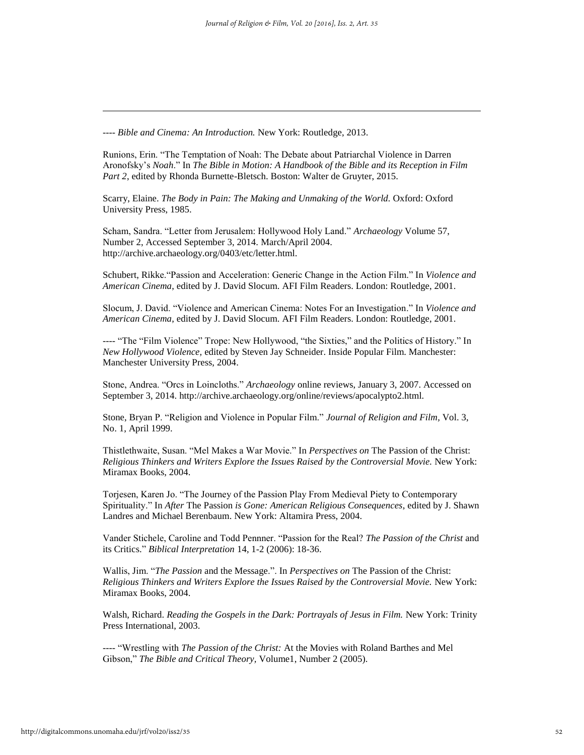---- *Bible and Cinema: An Introduction.* New York: Routledge, 2013.

Runions, Erin. "The Temptation of Noah: The Debate about Patriarchal Violence in Darren Aronofsky's *Noah*." In *The Bible in Motion: A Handbook of the Bible and its Reception in Film Part 2*, edited by Rhonda Burnette-Bletsch. Boston: Walter de Gruyter, 2015.

Scarry, Elaine. *The Body in Pain: The Making and Unmaking of the World.* Oxford: Oxford University Press, 1985.

Scham, Sandra. "Letter from Jerusalem: Hollywood Holy Land." *Archaeology* Volume 57, Number 2, Accessed September 3, 2014. March/April 2004. http://archive.archaeology.org/0403/etc/letter.html.

Schubert, Rikke."Passion and Acceleration: Generic Change in the Action Film." In *Violence and American Cinema*, edited by J. David Slocum. AFI Film Readers. London: Routledge, 2001.

Slocum, J. David. "Violence and American Cinema: Notes For an Investigation." In *Violence and American Cinema*, edited by J. David Slocum. AFI Film Readers. London: Routledge, 2001.

---- "The "Film Violence" Trope: New Hollywood, "the Sixties," and the Politics of History." In *New Hollywood Violence,* edited by Steven Jay Schneider. Inside Popular Film. Manchester: Manchester University Press, 2004.

Stone, Andrea. "Orcs in Loincloths." *Archaeology* online reviews, January 3, 2007. Accessed on September 3, 2014. http://archive.archaeology.org/online/reviews/apocalypto2.html.

Stone, Bryan P. "Religion and Violence in Popular Film." *Journal of Religion and Film,* Vol. 3, No. 1, April 1999.

Thistlethwaite, Susan. "Mel Makes a War Movie." In *Perspectives on* The Passion of the Christ: *Religious Thinkers and Writers Explore the Issues Raised by the Controversial Movie.* New York: Miramax Books, 2004.

Torjesen, Karen Jo. "The Journey of the Passion Play From Medieval Piety to Contemporary Spirituality." In *After* The Passion *is Gone: American Religious Consequences*, edited by J. Shawn Landres and Michael Berenbaum. New York: Altamira Press, 2004.

Vander Stichele, Caroline and Todd Pennner. "Passion for the Real? *The Passion of the Christ* and its Critics." *Biblical Interpretation* 14, 1-2 (2006): 18-36.

Wallis, Jim. "*The Passion* and the Message.". In *Perspectives on* The Passion of the Christ: *Religious Thinkers and Writers Explore the Issues Raised by the Controversial Movie.* New York: Miramax Books, 2004.

Walsh, Richard. *Reading the Gospels in the Dark: Portrayals of Jesus in Film.* New York: Trinity Press International, 2003.

---- "Wrestling with *The Passion of the Christ:* At the Movies with Roland Barthes and Mel Gibson," *The Bible and Critical Theory,* Volume1, Number 2 (2005).